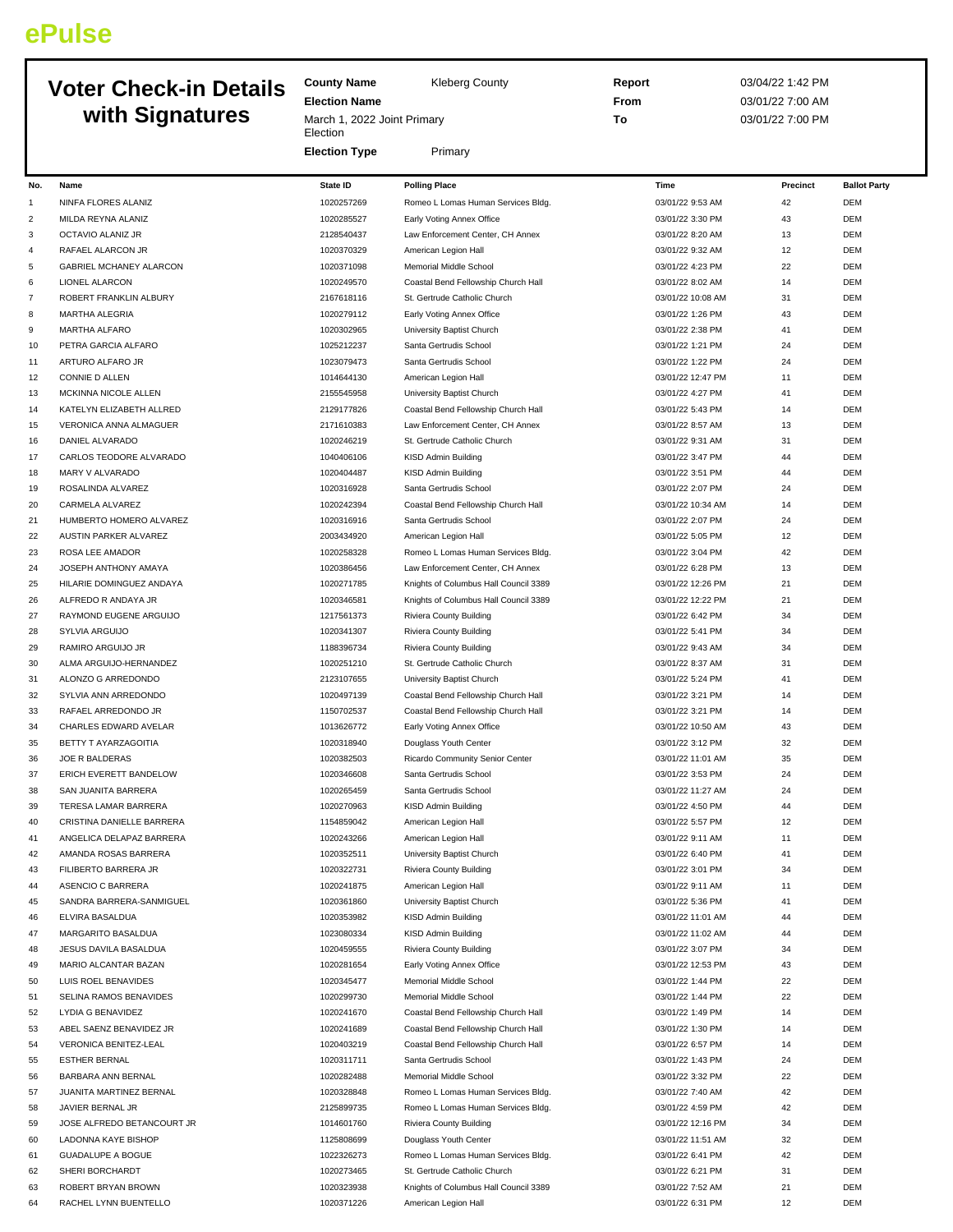## **ePulse**

## **Voter Check-in Details with Signatures**

| <b>Kleberg County</b> |
|-----------------------|
|-----------------------|

**Election Name** March 1, 2022 Joint Primary **Election** 

**County Name** 

**Election Type** Primary

**Report** 03/04/22 1:42 PM **From** 03/01/22 7:00 AM **To** 03/01/22 7:00 PM

| No.            | Name                                             | <b>State ID</b> | <b>Polling Place</b>                  | Time              | Precinct | <b>Ballot Party</b>      |
|----------------|--------------------------------------------------|-----------------|---------------------------------------|-------------------|----------|--------------------------|
| 1              | NINFA FLORES ALANIZ                              | 1020257269      | Romeo L Lomas Human Services Bldg.    | 03/01/22 9:53 AM  | 42       | DEM                      |
| $\overline{c}$ | MILDA REYNA ALANIZ                               | 1020285527      | Early Voting Annex Office             | 03/01/22 3:30 PM  | 43       | DEM                      |
| 3              | OCTAVIO ALANIZ JR                                | 2128540437      | Law Enforcement Center, CH Annex      | 03/01/22 8:20 AM  | 13       | DEM                      |
| 4              | RAFAEL ALARCON JR                                | 1020370329      | American Legion Hall                  | 03/01/22 9:32 AM  | 12       | DEM                      |
| 5              | GABRIEL MCHANEY ALARCON                          | 1020371098      | Memorial Middle School                | 03/01/22 4:23 PM  | 22       | <b>DEM</b>               |
| 6              | <b>LIONEL ALARCON</b>                            | 1020249570      | Coastal Bend Fellowship Church Hall   | 03/01/22 8:02 AM  | 14       | DEM                      |
| $\overline{7}$ | ROBERT FRANKLIN ALBURY                           | 2167618116      | St. Gertrude Catholic Church          | 03/01/22 10:08 AM | 31       | <b>DEM</b>               |
| 8              | <b>MARTHA ALEGRIA</b>                            | 1020279112      | Early Voting Annex Office             | 03/01/22 1:26 PM  | 43       | DEM                      |
| 9              | MARTHA ALFARO                                    | 1020302965      | University Baptist Church             | 03/01/22 2:38 PM  | 41       | DEM                      |
| 10             | PETRA GARCIA ALFARO                              | 1025212237      | Santa Gertrudis School                | 03/01/22 1:21 PM  | 24       | DEM                      |
| 11             | ARTURO ALFARO JR                                 | 1023079473      | Santa Gertrudis School                | 03/01/22 1:22 PM  | 24       | DEM                      |
|                |                                                  | 1014644130      |                                       |                   | 11       | DEM                      |
| 12             | CONNIE D ALLEN                                   |                 | American Legion Hall                  | 03/01/22 12:47 PM |          |                          |
| 13             | MCKINNA NICOLE ALLEN                             | 2155545958      | University Baptist Church             | 03/01/22 4:27 PM  | 41       | DEM                      |
| 14             | KATELYN ELIZABETH ALLRED                         | 2129177826      | Coastal Bend Fellowship Church Hall   | 03/01/22 5:43 PM  | 14       | DEM                      |
| 15             | VERONICA ANNA ALMAGUER                           | 2171610383      | Law Enforcement Center, CH Annex      | 03/01/22 8:57 AM  | 13       | <b>DEM</b>               |
| 16             | DANIEL ALVARADO                                  | 1020246219      | St. Gertrude Catholic Church          | 03/01/22 9:31 AM  | 31       | DEM                      |
| 17             | CARLOS TEODORE ALVARADO                          | 1040406106      | KISD Admin Building                   | 03/01/22 3:47 PM  | 44       | DEM                      |
| 18             | MARY V ALVARADO                                  | 1020404487      | KISD Admin Building                   | 03/01/22 3:51 PM  | 44       | DEM                      |
| 19             | ROSALINDA ALVAREZ                                | 1020316928      | Santa Gertrudis School                | 03/01/22 2:07 PM  | 24       | DEM                      |
| 20             | CARMELA ALVAREZ                                  | 1020242394      | Coastal Bend Fellowship Church Hall   | 03/01/22 10:34 AM | 14       | <b>DEM</b>               |
| 21             | HUMBERTO HOMERO ALVAREZ                          | 1020316916      | Santa Gertrudis School                | 03/01/22 2:07 PM  | 24       | <b>DEM</b>               |
| 22             | AUSTIN PARKER ALVAREZ                            | 2003434920      | American Legion Hall                  | 03/01/22 5:05 PM  | 12       | DEM                      |
| 23             | ROSA LEE AMADOR                                  | 1020258328      | Romeo L Lomas Human Services Bldg.    | 03/01/22 3:04 PM  | 42       | DEM                      |
| 24             | JOSEPH ANTHONY AMAYA                             | 1020386456      | Law Enforcement Center, CH Annex      | 03/01/22 6:28 PM  | 13       | <b>DEM</b>               |
| 25             | HILARIE DOMINGUEZ ANDAYA                         | 1020271785      | Knights of Columbus Hall Council 3389 | 03/01/22 12:26 PM | 21       | <b>DEM</b>               |
| 26             | ALFREDO R ANDAYA JR                              | 1020346581      | Knights of Columbus Hall Council 3389 | 03/01/22 12:22 PM | 21       | <b>DEM</b>               |
| 27             | RAYMOND EUGENE ARGUIJO                           | 1217561373      | <b>Riviera County Building</b>        | 03/01/22 6:42 PM  | 34       | <b>DEM</b>               |
| 28             | SYLVIA ARGUIJO                                   | 1020341307      | <b>Riviera County Building</b>        | 03/01/22 5:41 PM  | 34       | DEM                      |
| 29             | RAMIRO ARGUIJO JR                                | 1188396734      | Riviera County Building               | 03/01/22 9:43 AM  | 34       | DEM                      |
| 30             | ALMA ARGUIJO-HERNANDEZ                           | 1020251210      | St. Gertrude Catholic Church          | 03/01/22 8:37 AM  | 31       | DEM                      |
| 31             | ALONZO G ARREDONDO                               | 2123107655      | University Baptist Church             | 03/01/22 5:24 PM  | 41       | DEM                      |
| 32             | SYLVIA ANN ARREDONDO                             | 1020497139      | Coastal Bend Fellowship Church Hall   | 03/01/22 3:21 PM  | 14       | DEM                      |
| 33             | RAFAEL ARREDONDO JR                              | 1150702537      | Coastal Bend Fellowship Church Hall   | 03/01/22 3:21 PM  | 14       | <b>DEM</b>               |
| 34             | CHARLES EDWARD AVELAR                            | 1013626772      | Early Voting Annex Office             | 03/01/22 10:50 AM | 43       | DEM                      |
| 35             | BETTY T AYARZAGOITIA                             | 1020318940      | Douglass Youth Center                 | 03/01/22 3:12 PM  | 32       | DEM                      |
| 36             | JOE R BALDERAS                                   | 1020382503      | Ricardo Community Senior Center       | 03/01/22 11:01 AM | 35       | <b>DEM</b>               |
| 37             | ERICH EVERETT BANDELOW                           | 1020346608      | Santa Gertrudis School                | 03/01/22 3:53 PM  | 24       | DEM                      |
| 38             | SAN JUANITA BARRERA                              | 1020265459      | Santa Gertrudis School                | 03/01/22 11:27 AM | 24       | DEM                      |
| 39             | TERESA LAMAR BARRERA                             | 1020270963      | KISD Admin Building                   | 03/01/22 4:50 PM  | 44       | DEM                      |
| 40             | CRISTINA DANIELLE BARRERA                        | 1154859042      | American Legion Hall                  | 03/01/22 5:57 PM  | 12       | DEM                      |
|                |                                                  |                 |                                       |                   | 11       |                          |
| 41             | ANGELICA DELAPAZ BARRERA<br>AMANDA ROSAS BARRERA | 1020243266      | American Legion Hall                  | 03/01/22 9:11 AM  | 41       | <b>DEM</b><br><b>DEM</b> |
| 42             |                                                  | 1020352511      | University Baptist Church             | 03/01/22 6:40 PM  |          |                          |
| 43             | FILIBERTO BARRERA JR                             | 1020322731      | Riviera County Building               | 03/01/22 3:01 PM  | 34       | DEM                      |
| 44             | ASENCIO C BARRERA                                | 1020241875      | American Legion Hall                  | 03/01/22 9:11 AM  | 11       | DEM                      |
| 45             | SANDRA BARRERA-SANMIGUEL                         | 1020361860      | University Baptist Church             | 03/01/22 5:36 PM  | 41       | DEM                      |
| 46             | ELVIRA BASALDUA                                  | 1020353982      | KISD Admin Building                   | 03/01/22 11:01 AM | 44       | DEM                      |
| 47             | MARGARITO BASALDUA                               | 1023080334      | KISD Admin Building                   | 03/01/22 11:02 AM | 44       | DEM                      |
| 48             | JESUS DAVILA BASALDUA                            | 1020459555      | <b>Riviera County Building</b>        | 03/01/22 3:07 PM  | 34       | DEM                      |
| 49             | MARIO ALCANTAR BAZAN                             | 1020281654      | Early Voting Annex Office             | 03/01/22 12:53 PM | 43       | DEM                      |
| 50             | LUIS ROEL BENAVIDES                              | 1020345477      | Memorial Middle School                | 03/01/22 1:44 PM  | 22       | DEM                      |
| 51             | SELINA RAMOS BENAVIDES                           | 1020299730      | Memorial Middle School                | 03/01/22 1:44 PM  | 22       | DEM                      |
| 52             | LYDIA G BENAVIDEZ                                | 1020241670      | Coastal Bend Fellowship Church Hall   | 03/01/22 1:49 PM  | 14       | DEM                      |
| 53             | ABEL SAENZ BENAVIDEZ JR                          | 1020241689      | Coastal Bend Fellowship Church Hall   | 03/01/22 1:30 PM  | 14       | DEM                      |
| 54             | VERONICA BENITEZ-LEAL                            | 1020403219      | Coastal Bend Fellowship Church Hall   | 03/01/22 6:57 PM  | 14       | DEM                      |
| 55             | <b>ESTHER BERNAL</b>                             | 1020311711      | Santa Gertrudis School                | 03/01/22 1:43 PM  | 24       | DEM                      |
| 56             | BARBARA ANN BERNAL                               | 1020282488      | Memorial Middle School                | 03/01/22 3:32 PM  | 22       | DEM                      |
| 57             | JUANITA MARTINEZ BERNAL                          | 1020328848      | Romeo L Lomas Human Services Bldg.    | 03/01/22 7:40 AM  | 42       | DEM                      |
| 58             | JAVIER BERNAL JR                                 | 2125899735      | Romeo L Lomas Human Services Bldg.    | 03/01/22 4:59 PM  | 42       | DEM                      |
| 59             | JOSE ALFREDO BETANCOURT JR                       | 1014601760      | <b>Riviera County Building</b>        | 03/01/22 12:16 PM | 34       | DEM                      |
| 60             | LADONNA KAYE BISHOP                              | 1125808699      | Douglass Youth Center                 | 03/01/22 11:51 AM | 32       | DEM                      |
| 61             | <b>GUADALUPE A BOGUE</b>                         | 1022326273      | Romeo L Lomas Human Services Bldg.    | 03/01/22 6:41 PM  | 42       | DEM                      |
| 62             | SHERI BORCHARDT                                  | 1020273465      | St. Gertrude Catholic Church          | 03/01/22 6:21 PM  | 31       | DEM                      |
| 63             | ROBERT BRYAN BROWN                               | 1020323938      | Knights of Columbus Hall Council 3389 | 03/01/22 7:52 AM  | 21       | DEM                      |
| 64             | RACHEL LYNN BUENTELLO                            | 1020371226      | American Legion Hall                  | 03/01/22 6:31 PM  | 12       | DEM                      |
|                |                                                  |                 |                                       |                   |          |                          |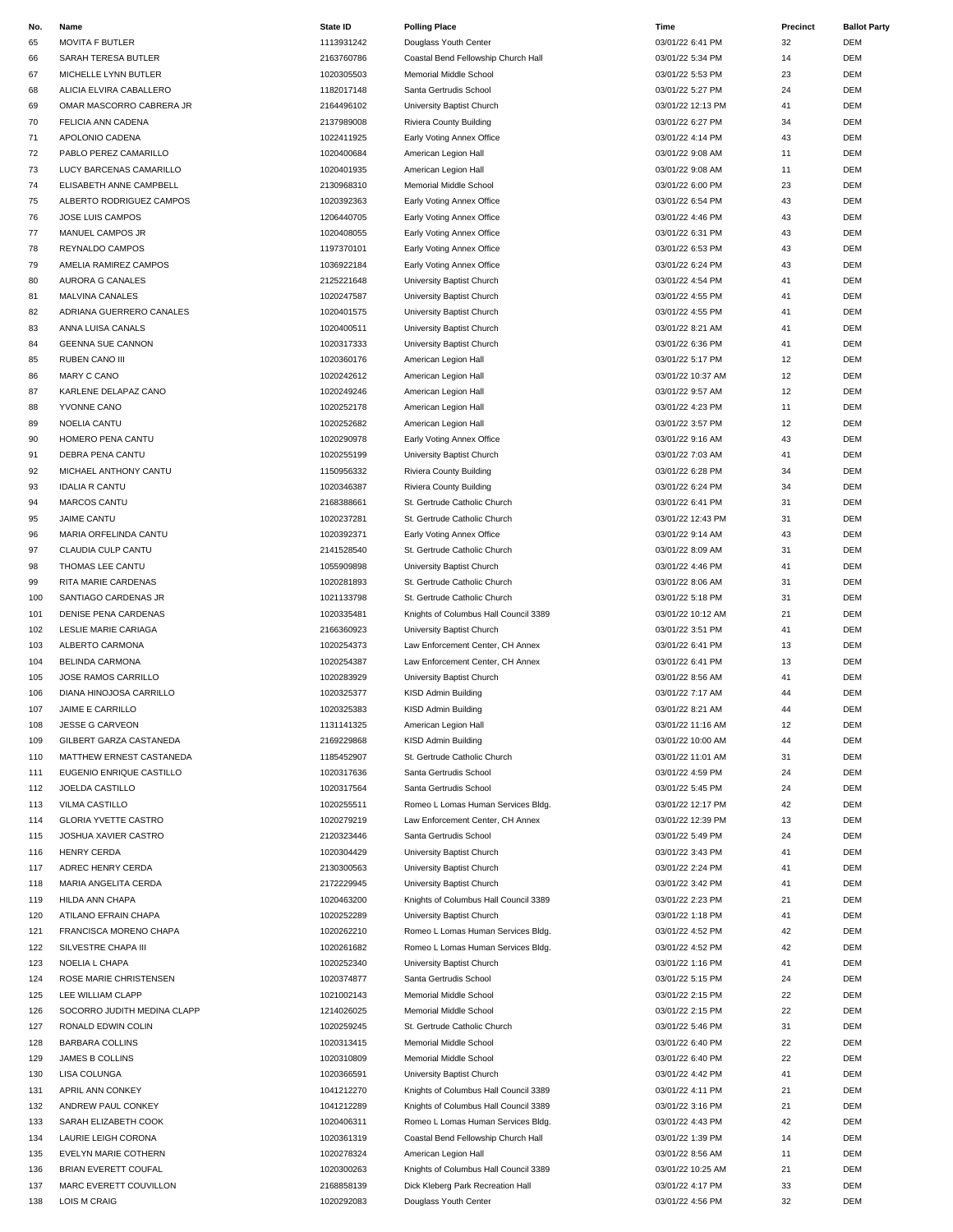| No. | Name                        | State ID   | <b>Polling Place</b>                  | Time              | Precinct | <b>Ballot Party</b> |
|-----|-----------------------------|------------|---------------------------------------|-------------------|----------|---------------------|
| 65  | <b>MOVITA F BUTLER</b>      | 1113931242 | Douglass Youth Center                 | 03/01/22 6:41 PM  | 32       | DEM                 |
| 66  | SARAH TERESA BUTLER         | 2163760786 | Coastal Bend Fellowship Church Hall   | 03/01/22 5:34 PM  | 14       | DEM                 |
| 67  | MICHELLE LYNN BUTLER        | 1020305503 | Memorial Middle School                | 03/01/22 5:53 PM  | 23       | <b>DEM</b>          |
| 68  | ALICIA ELVIRA CABALLERO     | 1182017148 | Santa Gertrudis School                | 03/01/22 5:27 PM  | 24       | <b>DEM</b>          |
| 69  | OMAR MASCORRO CABRERA JR    | 2164496102 | University Baptist Church             | 03/01/22 12:13 PM | 41       | <b>DEM</b>          |
| 70  | FELICIA ANN CADENA          | 2137989008 | Riviera County Building               | 03/01/22 6:27 PM  | 34       | <b>DEM</b>          |
| 71  | APOLONIO CADENA             | 1022411925 | Early Voting Annex Office             | 03/01/22 4:14 PM  | 43       | DEM                 |
| 72  | PABLO PEREZ CAMARILLO       | 1020400684 | American Legion Hall                  | 03/01/22 9:08 AM  | 11       | <b>DEM</b>          |
| 73  | LUCY BARCENAS CAMARILLO     | 1020401935 | American Legion Hall                  | 03/01/22 9:08 AM  | 11       | <b>DEM</b>          |
| 74  | ELISABETH ANNE CAMPBELL     | 2130968310 | Memorial Middle School                | 03/01/22 6:00 PM  | 23       | <b>DEM</b>          |
| 75  | ALBERTO RODRIGUEZ CAMPOS    | 1020392363 | Early Voting Annex Office             | 03/01/22 6:54 PM  | 43       | <b>DEM</b>          |
| 76  | JOSE LUIS CAMPOS            | 1206440705 | Early Voting Annex Office             | 03/01/22 4:46 PM  | 43       | DEM                 |
| 77  | MANUEL CAMPOS JR            | 1020408055 | Early Voting Annex Office             | 03/01/22 6:31 PM  | 43       | <b>DEM</b>          |
| 78  | REYNALDO CAMPOS             | 1197370101 | Early Voting Annex Office             | 03/01/22 6:53 PM  | 43       | <b>DEM</b>          |
| 79  | AMELIA RAMIREZ CAMPOS       | 1036922184 | Early Voting Annex Office             | 03/01/22 6:24 PM  | 43       | <b>DEM</b>          |
| 80  | AURORA G CANALES            | 2125221648 | University Baptist Church             | 03/01/22 4:54 PM  | 41       | <b>DEM</b>          |
| 81  | <b>MALVINA CANALES</b>      | 1020247587 | University Baptist Church             | 03/01/22 4:55 PM  | 41       | DEM                 |
| 82  | ADRIANA GUERRERO CANALES    | 1020401575 | University Baptist Church             | 03/01/22 4:55 PM  | 41       | <b>DEM</b>          |
| 83  | ANNA LUISA CANALS           | 1020400511 | University Baptist Church             | 03/01/22 8:21 AM  | 41       | <b>DEM</b>          |
| 84  | <b>GEENNA SUE CANNON</b>    | 1020317333 | University Baptist Church             | 03/01/22 6:36 PM  | 41       | <b>DEM</b>          |
| 85  | RUBEN CANO III              | 1020360176 | American Legion Hall                  | 03/01/22 5:17 PM  | 12       | <b>DEM</b>          |
| 86  | MARY C CANO                 | 1020242612 | American Legion Hall                  | 03/01/22 10:37 AM | 12       | DEM                 |
| 87  | KARLENE DELAPAZ CANO        | 1020249246 | American Legion Hall                  | 03/01/22 9:57 AM  | 12       | <b>DEM</b>          |
| 88  | YVONNE CANO                 | 1020252178 | American Legion Hall                  | 03/01/22 4:23 PM  | 11       | <b>DEM</b>          |
| 89  | NOELIA CANTU                | 1020252682 | American Legion Hall                  | 03/01/22 3:57 PM  | 12       | <b>DEM</b>          |
| 90  | HOMERO PENA CANTU           | 1020290978 | Early Voting Annex Office             | 03/01/22 9:16 AM  | 43       | <b>DEM</b>          |
| 91  | DEBRA PENA CANTU            | 1020255199 | University Baptist Church             | 03/01/22 7:03 AM  | 41       | <b>DEM</b>          |
| 92  | MICHAEL ANTHONY CANTU       | 1150956332 | Riviera County Building               | 03/01/22 6:28 PM  | 34       | <b>DEM</b>          |
| 93  | <b>IDALIA R CANTU</b>       | 1020346387 | <b>Riviera County Building</b>        | 03/01/22 6:24 PM  | 34       | <b>DEM</b>          |
| 94  | MARCOS CANTU                | 2168388661 | St. Gertrude Catholic Church          | 03/01/22 6:41 PM  | 31       | <b>DEM</b>          |
| 95  | <b>JAIME CANTU</b>          | 1020237281 | St. Gertrude Catholic Church          | 03/01/22 12:43 PM | 31       | <b>DEM</b>          |
| 96  | MARIA ORFELINDA CANTU       | 1020392371 | Early Voting Annex Office             | 03/01/22 9:14 AM  | 43       | <b>DEM</b>          |
| 97  | CLAUDIA CULP CANTU          | 2141528540 | St. Gertrude Catholic Church          | 03/01/22 8:09 AM  | 31       | <b>DEM</b>          |
| 98  | THOMAS LEE CANTU            | 1055909898 | University Baptist Church             | 03/01/22 4:46 PM  | 41       | <b>DEM</b>          |
| 99  | RITA MARIE CARDENAS         | 1020281893 | St. Gertrude Catholic Church          | 03/01/22 8:06 AM  | 31       | <b>DEM</b>          |
| 100 | SANTIAGO CARDENAS JR        | 1021133798 | St. Gertrude Catholic Church          | 03/01/22 5:18 PM  | 31       | <b>DEM</b>          |
| 101 | <b>DENISE PENA CARDENAS</b> | 1020335481 | Knights of Columbus Hall Council 3389 | 03/01/22 10:12 AM | 21       | <b>DEM</b>          |
|     | LESLIE MARIE CARIAGA        | 2166360923 |                                       | 03/01/22 3:51 PM  | 41       | <b>DEM</b>          |
| 102 | ALBERTO CARMONA             |            | University Baptist Church             |                   | 13       | <b>DEM</b>          |
| 103 |                             | 1020254373 | Law Enforcement Center, CH Annex      | 03/01/22 6:41 PM  | 13       | <b>DEM</b>          |
| 104 | BELINDA CARMONA             | 1020254387 | Law Enforcement Center, CH Annex      | 03/01/22 6:41 PM  |          |                     |
| 105 | JOSE RAMOS CARRILLO         | 1020283929 | University Baptist Church             | 03/01/22 8:56 AM  | 41       | <b>DEM</b>          |
| 106 | DIANA HINOJOSA CARRILLO     | 1020325377 | KISD Admin Building                   | 03/01/22 7:17 AM  | 44       | <b>DEM</b>          |
| 107 | JAIME E CARRILLO            | 1020325383 | KISD Admin Building                   | 03/01/22 8:21 AM  | 44       | DEM                 |
| 108 | <b>JESSE G CARVEON</b>      | 1131141325 | American Legion Hall                  | 03/01/22 11:16 AM | 12       | DEM                 |
| 109 | GILBERT GARZA CASTANEDA     | 2169229868 | KISD Admin Building                   | 03/01/22 10:00 AM | 44       | <b>DEM</b>          |
| 110 | MATTHEW ERNEST CASTANEDA    | 1185452907 | St. Gertrude Catholic Church          | 03/01/22 11:01 AM | 31       | DEM                 |
| 111 | EUGENIO ENRIQUE CASTILLO    | 1020317636 | Santa Gertrudis School                | 03/01/22 4:59 PM  | 24       | DEM                 |
| 112 | JOELDA CASTILLO             | 1020317564 | Santa Gertrudis School                | 03/01/22 5:45 PM  | 24       | DEM                 |
| 113 | VILMA CASTILLO              | 1020255511 | Romeo L Lomas Human Services Bldg.    | 03/01/22 12:17 PM | 42       | DEM                 |
| 114 | <b>GLORIA YVETTE CASTRO</b> | 1020279219 | Law Enforcement Center, CH Annex      | 03/01/22 12:39 PM | 13       | DEM                 |
| 115 | JOSHUA XAVIER CASTRO        | 2120323446 | Santa Gertrudis School                | 03/01/22 5:49 PM  | 24       | <b>DEM</b>          |
| 116 | <b>HENRY CERDA</b>          | 1020304429 | University Baptist Church             | 03/01/22 3:43 PM  | 41       | DEM                 |
| 117 | ADREC HENRY CERDA           | 2130300563 | University Baptist Church             | 03/01/22 2:24 PM  | 41       | DEM                 |
| 118 | MARIA ANGELITA CERDA        | 2172229945 | University Baptist Church             | 03/01/22 3:42 PM  | 41       | DEM                 |
| 119 | HILDA ANN CHAPA             | 1020463200 | Knights of Columbus Hall Council 3389 | 03/01/22 2:23 PM  | 21       | DEM                 |
| 120 | ATILANO EFRAIN CHAPA        | 1020252289 | University Baptist Church             | 03/01/22 1:18 PM  | 41       | DEM                 |
| 121 | FRANCISCA MORENO CHAPA      | 1020262210 | Romeo L Lomas Human Services Bldg.    | 03/01/22 4:52 PM  | 42       | DEM                 |
| 122 | SILVESTRE CHAPA III         | 1020261682 | Romeo L Lomas Human Services Bldg.    | 03/01/22 4:52 PM  | 42       | DEM                 |
| 123 | NOELIA L CHAPA              | 1020252340 | University Baptist Church             | 03/01/22 1:16 PM  | 41       | DEM                 |
| 124 | ROSE MARIE CHRISTENSEN      | 1020374877 | Santa Gertrudis School                | 03/01/22 5:15 PM  | 24       | DEM                 |
| 125 | LEE WILLIAM CLAPP           | 1021002143 | Memorial Middle School                | 03/01/22 2:15 PM  | 22       | DEM                 |
| 126 | SOCORRO JUDITH MEDINA CLAPP | 1214026025 | Memorial Middle School                | 03/01/22 2:15 PM  | 22       | DEM                 |
| 127 | RONALD EDWIN COLIN          | 1020259245 | St. Gertrude Catholic Church          | 03/01/22 5:46 PM  | 31       | DEM                 |
| 128 | <b>BARBARA COLLINS</b>      | 1020313415 | Memorial Middle School                | 03/01/22 6:40 PM  | 22       | <b>DEM</b>          |
| 129 | JAMES B COLLINS             | 1020310809 | Memorial Middle School                | 03/01/22 6:40 PM  | 22       | <b>DEM</b>          |
| 130 | LISA COLUNGA                | 1020366591 | University Baptist Church             | 03/01/22 4:42 PM  | 41       | DEM                 |
| 131 | APRIL ANN CONKEY            | 1041212270 | Knights of Columbus Hall Council 3389 | 03/01/22 4:11 PM  | 21       | DEM                 |
| 132 | ANDREW PAUL CONKEY          | 1041212289 | Knights of Columbus Hall Council 3389 | 03/01/22 3:16 PM  | 21       | DEM                 |
| 133 | SARAH ELIZABETH COOK        | 1020406311 | Romeo L Lomas Human Services Bldg.    | 03/01/22 4:43 PM  | 42       | <b>DEM</b>          |
| 134 | LAURIE LEIGH CORONA         | 1020361319 | Coastal Bend Fellowship Church Hall   | 03/01/22 1:39 PM  | 14       | DEM                 |
| 135 | EVELYN MARIE COTHERN        | 1020278324 | American Legion Hall                  | 03/01/22 8:56 AM  | 11       | <b>DEM</b>          |
| 136 | BRIAN EVERETT COUFAL        | 1020300263 | Knights of Columbus Hall Council 3389 | 03/01/22 10:25 AM | 21       | DEM                 |
| 137 | MARC EVERETT COUVILLON      | 2168858139 | Dick Kleberg Park Recreation Hall     | 03/01/22 4:17 PM  | 33       | DEM                 |
| 138 | <b>LOIS M CRAIG</b>         | 1020292083 | Douglass Youth Center                 | 03/01/22 4:56 PM  | 32       | <b>DEM</b>          |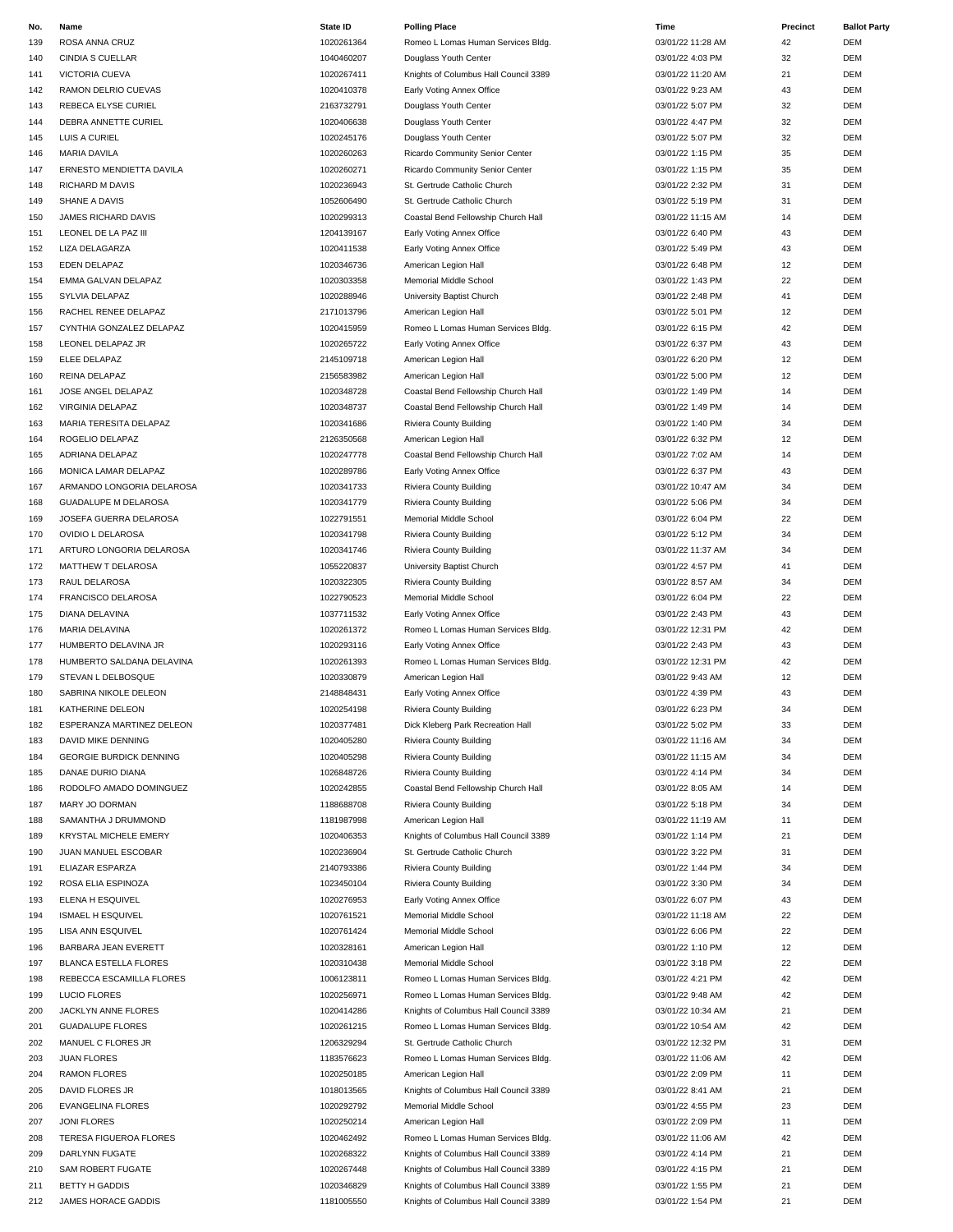| No. | Name                           | <b>State ID</b> | <b>Polling Place</b>                  | Time              | Precinct | <b>Ballot Party</b> |
|-----|--------------------------------|-----------------|---------------------------------------|-------------------|----------|---------------------|
| 139 | ROSA ANNA CRUZ                 | 1020261364      | Romeo L Lomas Human Services Bldg.    | 03/01/22 11:28 AM | 42       | DEM                 |
| 140 | <b>CINDIA S CUELLAR</b>        | 1040460207      | Douglass Youth Center                 | 03/01/22 4:03 PM  | 32       | DEM                 |
| 141 | VICTORIA CUEVA                 | 1020267411      | Knights of Columbus Hall Council 3389 | 03/01/22 11:20 AM | 21       | <b>DEM</b>          |
| 142 | RAMON DELRIO CUEVAS            | 1020410378      | Early Voting Annex Office             | 03/01/22 9:23 AM  | 43       | DEM                 |
| 143 | REBECA ELYSE CURIEL            | 2163732791      | Douglass Youth Center                 | 03/01/22 5:07 PM  | 32       | <b>DEM</b>          |
| 144 | DEBRA ANNETTE CURIEL           | 1020406638      | Douglass Youth Center                 | 03/01/22 4:47 PM  | 32       | DEM                 |
| 145 | LUIS A CURIEL                  | 1020245176      | Douglass Youth Center                 | 03/01/22 5:07 PM  | 32       | DEM                 |
| 146 | <b>MARIA DAVILA</b>            | 1020260263      | Ricardo Community Senior Center       | 03/01/22 1:15 PM  | 35       | DEM                 |
| 147 | ERNESTO MENDIETTA DAVILA       | 1020260271      |                                       | 03/01/22 1:15 PM  | 35       | DEM                 |
|     |                                | 1020236943      | Ricardo Community Senior Center       |                   |          |                     |
| 148 | <b>RICHARD M DAVIS</b>         |                 | St. Gertrude Catholic Church          | 03/01/22 2:32 PM  | 31       | DEM                 |
| 149 | SHANE A DAVIS                  | 1052606490      | St. Gertrude Catholic Church          | 03/01/22 5:19 PM  | 31       | DEM                 |
| 150 | JAMES RICHARD DAVIS            | 1020299313      | Coastal Bend Fellowship Church Hall   | 03/01/22 11:15 AM | 14       | DEM                 |
| 151 | LEONEL DE LA PAZ III           | 1204139167      | Early Voting Annex Office             | 03/01/22 6:40 PM  | 43       | DEM                 |
| 152 | LIZA DELAGARZA                 | 1020411538      | Early Voting Annex Office             | 03/01/22 5:49 PM  | 43       | DEM                 |
| 153 | EDEN DELAPAZ                   | 1020346736      | American Legion Hall                  | 03/01/22 6:48 PM  | 12       | DEM                 |
| 154 | EMMA GALVAN DELAPAZ            | 1020303358      | Memorial Middle School                | 03/01/22 1:43 PM  | 22       | DEM                 |
| 155 | SYLVIA DELAPAZ                 | 1020288946      | University Baptist Church             | 03/01/22 2:48 PM  | 41       | DEM                 |
| 156 | RACHEL RENEE DELAPAZ           | 2171013796      | American Legion Hall                  | 03/01/22 5:01 PM  | 12       | DEM                 |
| 157 | CYNTHIA GONZALEZ DELAPAZ       | 1020415959      | Romeo L Lomas Human Services Bldg.    | 03/01/22 6:15 PM  | 42       | DEM                 |
| 158 | LEONEL DELAPAZ JR              | 1020265722      | Early Voting Annex Office             | 03/01/22 6:37 PM  | 43       | DEM                 |
| 159 | ELEE DELAPAZ                   | 2145109718      | American Legion Hall                  | 03/01/22 6:20 PM  | 12       | DEM                 |
| 160 | REINA DELAPAZ                  | 2156583982      | American Legion Hall                  | 03/01/22 5:00 PM  | 12       | DEM                 |
| 161 | JOSE ANGEL DELAPAZ             | 1020348728      | Coastal Bend Fellowship Church Hall   | 03/01/22 1:49 PM  | 14       | DEM                 |
|     |                                |                 |                                       |                   |          |                     |
| 162 | <b>VIRGINIA DELAPAZ</b>        | 1020348737      | Coastal Bend Fellowship Church Hall   | 03/01/22 1:49 PM  | 14       | DEM                 |
| 163 | MARIA TERESITA DELAPAZ         | 1020341686      | Riviera County Building               | 03/01/22 1:40 PM  | 34       | DEM                 |
| 164 | ROGELIO DELAPAZ                | 2126350568      | American Legion Hall                  | 03/01/22 6:32 PM  | 12       | DEM                 |
| 165 | ADRIANA DELAPAZ                | 1020247778      | Coastal Bend Fellowship Church Hall   | 03/01/22 7:02 AM  | 14       | DEM                 |
| 166 | MONICA LAMAR DELAPAZ           | 1020289786      | Early Voting Annex Office             | 03/01/22 6:37 PM  | 43       | DEM                 |
| 167 | ARMANDO LONGORIA DELAROSA      | 1020341733      | Riviera County Building               | 03/01/22 10:47 AM | 34       | DEM                 |
| 168 | <b>GUADALUPE M DELAROSA</b>    | 1020341779      | <b>Riviera County Building</b>        | 03/01/22 5:06 PM  | 34       | DEM                 |
| 169 | JOSEFA GUERRA DELAROSA         | 1022791551      | Memorial Middle School                | 03/01/22 6:04 PM  | 22       | DEM                 |
| 170 | OVIDIO L DELAROSA              | 1020341798      | <b>Riviera County Building</b>        | 03/01/22 5:12 PM  | 34       | DEM                 |
| 171 | ARTURO LONGORIA DELAROSA       | 1020341746      | Riviera County Building               | 03/01/22 11:37 AM | 34       | DEM                 |
| 172 | MATTHEW T DELAROSA             | 1055220837      | University Baptist Church             | 03/01/22 4:57 PM  | 41       | DEM                 |
| 173 | RAUL DELAROSA                  | 1020322305      | <b>Riviera County Building</b>        | 03/01/22 8:57 AM  | 34       | DEM                 |
| 174 | FRANCISCO DELAROSA             | 1022790523      | Memorial Middle School                | 03/01/22 6:04 PM  | 22       | DEM                 |
|     |                                |                 |                                       |                   |          | DEM                 |
| 175 | DIANA DELAVINA                 | 1037711532      | Early Voting Annex Office             | 03/01/22 2:43 PM  | 43       |                     |
| 176 | MARIA DELAVINA                 | 1020261372      | Romeo L Lomas Human Services Bldg.    | 03/01/22 12:31 PM | 42       | DEM                 |
| 177 | HUMBERTO DELAVINA JR           | 1020293116      | Early Voting Annex Office             | 03/01/22 2:43 PM  | 43       | DEM                 |
| 178 | HUMBERTO SALDANA DELAVINA      | 1020261393      | Romeo L Lomas Human Services Bldg.    | 03/01/22 12:31 PM | 42       | DEM                 |
| 179 | STEVAN L DELBOSQUE             | 1020330879      | American Legion Hall                  | 03/01/22 9:43 AM  | 12       | DEM                 |
| 180 | SABRINA NIKOLE DELEON          | 2148848431      | Early Voting Annex Office             | 03/01/22 4:39 PM  | 43       | DEM                 |
| 181 | KATHERINE DELEON               | 1020254198      | <b>Riviera County Building</b>        | 03/01/22 6:23 PM  | 34       | <b>DEM</b>          |
| 182 | ESPERANZA MARTINEZ DELEON      | 1020377481      | Dick Kleberg Park Recreation Hall     | 03/01/22 5:02 PM  | 33       | DEM                 |
| 183 | DAVID MIKE DENNING             | 1020405280      | Riviera County Building               | 03/01/22 11:16 AM | 34       | DEM                 |
| 184 | <b>GEORGIE BURDICK DENNING</b> | 1020405298      | <b>Riviera County Building</b>        | 03/01/22 11:15 AM | 34       | DEM                 |
| 185 | DANAE DURIO DIANA              | 1026848726      | <b>Riviera County Building</b>        | 03/01/22 4:14 PM  | 34       | DEM                 |
| 186 | RODOLFO AMADO DOMINGUEZ        | 1020242855      | Coastal Bend Fellowship Church Hall   | 03/01/22 8:05 AM  | 14       | DEM                 |
| 187 | MARY JO DORMAN                 | 1188688708      | Riviera County Building               | 03/01/22 5:18 PM  | 34       | DEM                 |
| 188 | SAMANTHA J DRUMMOND            | 1181987998      | American Legion Hall                  | 03/01/22 11:19 AM | 11       | DEM                 |
| 189 | <b>KRYSTAL MICHELE EMERY</b>   | 1020406353      | Knights of Columbus Hall Council 3389 | 03/01/22 1:14 PM  | 21       | DEM                 |
| 190 | JUAN MANUEL ESCOBAR            | 1020236904      | St. Gertrude Catholic Church          | 03/01/22 3:22 PM  | 31       | DEM                 |
| 191 | ELIAZAR ESPARZA                | 2140793386      | Riviera County Building               | 03/01/22 1:44 PM  | 34       | DEM                 |
|     | ROSA ELIA ESPINOZA             |                 |                                       |                   |          |                     |
| 192 |                                | 1023450104      | Riviera County Building               | 03/01/22 3:30 PM  | 34       | DEM                 |
| 193 | ELENA H ESQUIVEL               | 1020276953      | Early Voting Annex Office             | 03/01/22 6:07 PM  | 43       | DEM                 |
| 194 | <b>ISMAEL H ESQUIVEL</b>       | 1020761521      | Memorial Middle School                | 03/01/22 11:18 AM | 22       | DEM                 |
| 195 | LISA ANN ESQUIVEL              | 1020761424      | Memorial Middle School                | 03/01/22 6:06 PM  | 22       | DEM                 |
| 196 | BARBARA JEAN EVERETT           | 1020328161      | American Legion Hall                  | 03/01/22 1:10 PM  | 12       | DEM                 |
| 197 | <b>BLANCA ESTELLA FLORES</b>   | 1020310438      | Memorial Middle School                | 03/01/22 3:18 PM  | 22       | DEM                 |
| 198 | REBECCA ESCAMILLA FLORES       | 1006123811      | Romeo L Lomas Human Services Bldg.    | 03/01/22 4:21 PM  | 42       | DEM                 |
| 199 | <b>LUCIO FLORES</b>            | 1020256971      | Romeo L Lomas Human Services Bldg.    | 03/01/22 9:48 AM  | 42       | DEM                 |
| 200 | JACKLYN ANNE FLORES            | 1020414286      | Knights of Columbus Hall Council 3389 | 03/01/22 10:34 AM | 21       | DEM                 |
| 201 | <b>GUADALUPE FLORES</b>        | 1020261215      | Romeo L Lomas Human Services Bldg.    | 03/01/22 10:54 AM | 42       | DEM                 |
| 202 | MANUEL C FLORES JR             | 1206329294      | St. Gertrude Catholic Church          | 03/01/22 12:32 PM | 31       | DEM                 |
| 203 | <b>JUAN FLORES</b>             | 1183576623      | Romeo L Lomas Human Services Bldg.    | 03/01/22 11:06 AM | 42       | DEM                 |
| 204 | <b>RAMON FLORES</b>            | 1020250185      | American Legion Hall                  | 03/01/22 2:09 PM  | 11       | DEM                 |
|     |                                |                 |                                       |                   |          |                     |
| 205 | DAVID FLORES JR                | 1018013565      | Knights of Columbus Hall Council 3389 | 03/01/22 8:41 AM  | 21       | DEM                 |
| 206 | <b>EVANGELINA FLORES</b>       | 1020292792      | Memorial Middle School                | 03/01/22 4:55 PM  | 23       | DEM                 |
| 207 | JONI FLORES                    | 1020250214      | American Legion Hall                  | 03/01/22 2:09 PM  | 11       | DEM                 |
| 208 | TERESA FIGUEROA FLORES         | 1020462492      | Romeo L Lomas Human Services Bldg.    | 03/01/22 11:06 AM | 42       | DEM                 |
| 209 | DARLYNN FUGATE                 | 1020268322      | Knights of Columbus Hall Council 3389 | 03/01/22 4:14 PM  | 21       | DEM                 |
| 210 | SAM ROBERT FUGATE              | 1020267448      | Knights of Columbus Hall Council 3389 | 03/01/22 4:15 PM  | 21       | DEM                 |
| 211 | <b>BETTY H GADDIS</b>          | 1020346829      | Knights of Columbus Hall Council 3389 | 03/01/22 1:55 PM  | 21       | DEM                 |
| 212 | JAMES HORACE GADDIS            | 1181005550      | Knights of Columbus Hall Council 3389 | 03/01/22 1:54 PM  | 21       | DEM                 |
|     |                                |                 |                                       |                   |          |                     |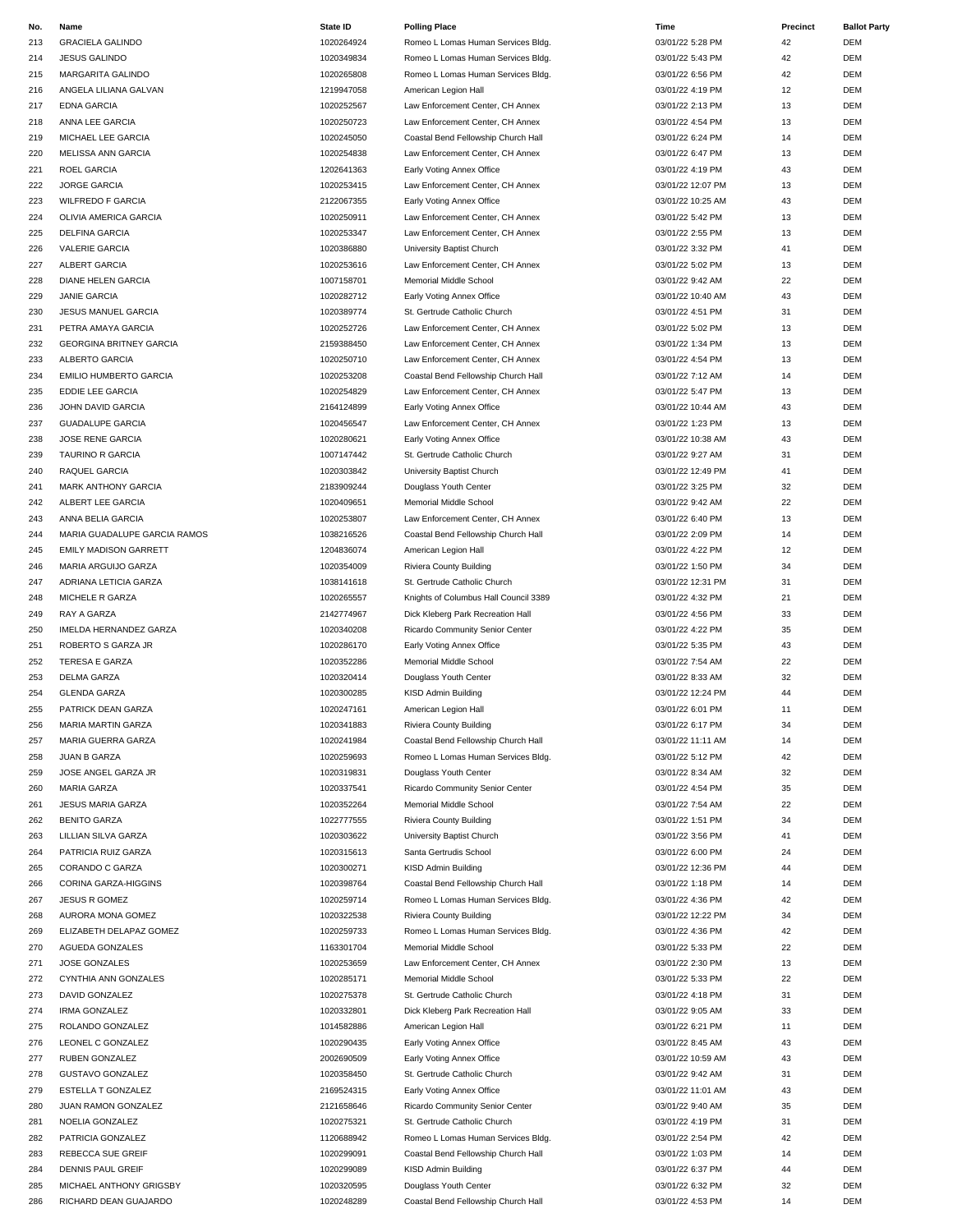| No. | Name                           | State ID   | <b>Polling Place</b>                  | Time              | Precinct | <b>Ballot Party</b> |
|-----|--------------------------------|------------|---------------------------------------|-------------------|----------|---------------------|
| 213 | <b>GRACIELA GALINDO</b>        | 1020264924 | Romeo L Lomas Human Services Bldg.    | 03/01/22 5:28 PM  | 42       | <b>DEM</b>          |
| 214 | <b>JESUS GALINDO</b>           | 1020349834 | Romeo L Lomas Human Services Bldg.    | 03/01/22 5:43 PM  | 42       | DEM                 |
|     |                                | 1020265808 |                                       | 03/01/22 6:56 PM  |          |                     |
| 215 | MARGARITA GALINDO              |            | Romeo L Lomas Human Services Bldg.    |                   | 42       | DEM                 |
| 216 | ANGELA LILIANA GALVAN          | 1219947058 | American Legion Hall                  | 03/01/22 4:19 PM  | 12       | <b>DEM</b>          |
| 217 | <b>EDNA GARCIA</b>             | 1020252567 | Law Enforcement Center, CH Annex      | 03/01/22 2:13 PM  | 13       | DEM                 |
| 218 | ANNA LEE GARCIA                | 1020250723 | Law Enforcement Center, CH Annex      | 03/01/22 4:54 PM  | 13       | DEM                 |
| 219 | MICHAEL LEE GARCIA             | 1020245050 | Coastal Bend Fellowship Church Hall   | 03/01/22 6:24 PM  | 14       | DEM                 |
| 220 | <b>MELISSA ANN GARCIA</b>      | 1020254838 | Law Enforcement Center, CH Annex      | 03/01/22 6:47 PM  | 13       | DEM                 |
| 221 | ROEL GARCIA                    | 1202641363 | Early Voting Annex Office             | 03/01/22 4:19 PM  | 43       | DEM                 |
|     |                                | 1020253415 |                                       | 03/01/22 12:07 PM |          | DEM                 |
| 222 | JORGE GARCIA                   |            | Law Enforcement Center, CH Annex      |                   | 13       |                     |
| 223 | <b>WILFREDO F GARCIA</b>       | 2122067355 | Early Voting Annex Office             | 03/01/22 10:25 AM | 43       | <b>DEM</b>          |
| 224 | OLIVIA AMERICA GARCIA          | 1020250911 | Law Enforcement Center, CH Annex      | 03/01/22 5:42 PM  | 13       | DEM                 |
| 225 | <b>DELFINA GARCIA</b>          | 1020253347 | Law Enforcement Center, CH Annex      | 03/01/22 2:55 PM  | 13       | DEM                 |
| 226 | <b>VALERIE GARCIA</b>          | 1020386880 | University Baptist Church             | 03/01/22 3:32 PM  | 41       | DEM                 |
| 227 | ALBERT GARCIA                  | 1020253616 | Law Enforcement Center, CH Annex      | 03/01/22 5:02 PM  | 13       | DEM                 |
| 228 | <b>DIANE HELEN GARCIA</b>      | 1007158701 | Memorial Middle School                | 03/01/22 9:42 AM  | 22       | DEM                 |
| 229 | <b>JANIE GARCIA</b>            | 1020282712 | Early Voting Annex Office             | 03/01/22 10:40 AM | 43       | DEM                 |
|     |                                |            |                                       |                   |          |                     |
| 230 | JESUS MANUEL GARCIA            | 1020389774 | St. Gertrude Catholic Church          | 03/01/22 4:51 PM  | 31       | DEM                 |
| 231 | PETRA AMAYA GARCIA             | 1020252726 | Law Enforcement Center, CH Annex      | 03/01/22 5:02 PM  | 13       | DEM                 |
| 232 | <b>GEORGINA BRITNEY GARCIA</b> | 2159388450 | Law Enforcement Center, CH Annex      | 03/01/22 1:34 PM  | 13       | DEM                 |
| 233 | ALBERTO GARCIA                 | 1020250710 | Law Enforcement Center, CH Annex      | 03/01/22 4:54 PM  | 13       | DEM                 |
| 234 | EMILIO HUMBERTO GARCIA         | 1020253208 | Coastal Bend Fellowship Church Hall   | 03/01/22 7:12 AM  | 14       | DEM                 |
| 235 | EDDIE LEE GARCIA               | 1020254829 | Law Enforcement Center, CH Annex      | 03/01/22 5:47 PM  | 13       | DEM                 |
|     |                                |            |                                       |                   |          |                     |
| 236 | <b>JOHN DAVID GARCIA</b>       | 2164124899 | Early Voting Annex Office             | 03/01/22 10:44 AM | 43       | DEM                 |
| 237 | <b>GUADALUPE GARCIA</b>        | 1020456547 | Law Enforcement Center, CH Annex      | 03/01/22 1:23 PM  | 13       | DEM                 |
| 238 | JOSE RENE GARCIA               | 1020280621 | Early Voting Annex Office             | 03/01/22 10:38 AM | 43       | DEM                 |
| 239 | TAURINO R GARCIA               | 1007147442 | St. Gertrude Catholic Church          | 03/01/22 9:27 AM  | 31       | DEM                 |
| 240 | RAQUEL GARCIA                  | 1020303842 | University Baptist Church             | 03/01/22 12:49 PM | 41       | DEM                 |
| 241 | <b>MARK ANTHONY GARCIA</b>     | 2183909244 | Douglass Youth Center                 | 03/01/22 3:25 PM  | 32       | DEM                 |
|     |                                | 1020409651 |                                       | 03/01/22 9:42 AM  | 22       | DEM                 |
| 242 | ALBERT LEE GARCIA              |            | Memorial Middle School                |                   |          |                     |
| 243 | ANNA BELIA GARCIA              | 1020253807 | Law Enforcement Center, CH Annex      | 03/01/22 6:40 PM  | 13       | DEM                 |
| 244 | MARIA GUADALUPE GARCIA RAMOS   | 1038216526 | Coastal Bend Fellowship Church Hall   | 03/01/22 2:09 PM  | 14       | DEM                 |
| 245 | <b>EMILY MADISON GARRETT</b>   | 1204836074 | American Legion Hall                  | 03/01/22 4:22 PM  | 12       | DEM                 |
| 246 | MARIA ARGUIJO GARZA            | 1020354009 | <b>Riviera County Building</b>        | 03/01/22 1:50 PM  | 34       | <b>DEM</b>          |
| 247 | ADRIANA LETICIA GARZA          | 1038141618 | St. Gertrude Catholic Church          | 03/01/22 12:31 PM | 31       | DEM                 |
| 248 | MICHELE R GARZA                | 1020265557 | Knights of Columbus Hall Council 3389 | 03/01/22 4:32 PM  | 21       | DEM                 |
|     |                                |            |                                       |                   |          |                     |
| 249 | RAY A GARZA                    | 2142774967 | Dick Kleberg Park Recreation Hall     | 03/01/22 4:56 PM  | 33       | DEM                 |
| 250 | <b>IMELDA HERNANDEZ GARZA</b>  | 1020340208 | Ricardo Community Senior Center       | 03/01/22 4:22 PM  | 35       | DEM                 |
| 251 | ROBERTO S GARZA JR             | 1020286170 | Early Voting Annex Office             | 03/01/22 5:35 PM  | 43       | DEM                 |
| 252 | TERESA E GARZA                 | 1020352286 | Memorial Middle School                | 03/01/22 7:54 AM  | 22       | DEM                 |
| 253 | DELMA GARZA                    | 1020320414 | Douglass Youth Center                 | 03/01/22 8:33 AM  | 32       | DEM                 |
| 254 | <b>GLENDA GARZA</b>            | 1020300285 | KISD Admin Building                   | 03/01/22 12:24 PM | 44       | DEM                 |
| 255 | PATRICK DEAN GARZA             | 1020247161 | American Legion Hall                  | 03/01/22 6:01 PM  | 11       | <b>DEM</b>          |
|     |                                |            |                                       |                   |          |                     |
| 256 | MARIA MARTIN GARZA             | 1020341883 | <b>Riviera County Building</b>        | 03/01/22 6:17 PM  | 34       | DEM                 |
| 257 | MARIA GUERRA GARZA             | 1020241984 | Coastal Bend Fellowship Church Hall   | 03/01/22 11:11 AM | 14       | DEM                 |
| 258 | JUAN B GARZA                   | 1020259693 | Romeo L Lomas Human Services Bldg.    | 03/01/22 5:12 PM  | 42       | DEM                 |
| 259 | JOSE ANGEL GARZA JR            | 1020319831 | Douglass Youth Center                 | 03/01/22 8:34 AM  | 32       | DEM                 |
| 260 | <b>MARIA GARZA</b>             | 1020337541 | Ricardo Community Senior Center       | 03/01/22 4:54 PM  | 35       | DEM                 |
| 261 | <b>JESUS MARIA GARZA</b>       | 1020352264 | Memorial Middle School                | 03/01/22 7:54 AM  | 22       | DEM                 |
| 262 | <b>BENITO GARZA</b>            | 1022777555 | Riviera County Building               | 03/01/22 1:51 PM  | 34       | DEM                 |
|     |                                |            |                                       |                   |          |                     |
| 263 | LILLIAN SILVA GARZA            | 1020303622 | University Baptist Church             | 03/01/22 3:56 PM  | 41       | DEM                 |
| 264 | PATRICIA RUIZ GARZA            | 1020315613 | Santa Gertrudis School                | 03/01/22 6:00 PM  | 24       | DEM                 |
| 265 | CORANDO C GARZA                | 1020300271 | KISD Admin Building                   | 03/01/22 12:36 PM | 44       | DEM                 |
| 266 | CORINA GARZA-HIGGINS           | 1020398764 | Coastal Bend Fellowship Church Hall   | 03/01/22 1:18 PM  | 14       | DEM                 |
| 267 | <b>JESUS R GOMEZ</b>           | 1020259714 | Romeo L Lomas Human Services Bldg.    | 03/01/22 4:36 PM  | 42       | DEM                 |
| 268 | AURORA MONA GOMEZ              | 1020322538 | Riviera County Building               | 03/01/22 12:22 PM | 34       | DEM                 |
| 269 | ELIZABETH DELAPAZ GOMEZ        | 1020259733 | Romeo L Lomas Human Services Bldg.    | 03/01/22 4:36 PM  | 42       | DEM                 |
|     |                                |            |                                       |                   |          |                     |
| 270 | AGUEDA GONZALES                | 1163301704 | Memorial Middle School                | 03/01/22 5:33 PM  | 22       | DEM                 |
| 271 | JOSE GONZALES                  | 1020253659 | Law Enforcement Center, CH Annex      | 03/01/22 2:30 PM  | 13       | DEM                 |
| 272 | CYNTHIA ANN GONZALES           | 1020285171 | Memorial Middle School                | 03/01/22 5:33 PM  | 22       | DEM                 |
| 273 | DAVID GONZALEZ                 | 1020275378 | St. Gertrude Catholic Church          | 03/01/22 4:18 PM  | 31       | DEM                 |
| 274 | <b>IRMA GONZALEZ</b>           | 1020332801 | Dick Kleberg Park Recreation Hall     | 03/01/22 9:05 AM  | 33       | DEM                 |
| 275 | ROLANDO GONZALEZ               | 1014582886 | American Legion Hall                  | 03/01/22 6:21 PM  | 11       | DEM                 |
| 276 | LEONEL C GONZALEZ              | 1020290435 | Early Voting Annex Office             | 03/01/22 8:45 AM  | 43       | DEM                 |
|     |                                |            |                                       |                   |          |                     |
| 277 | RUBEN GONZALEZ                 | 2002690509 | Early Voting Annex Office             | 03/01/22 10:59 AM | 43       | DEM                 |
| 278 | GUSTAVO GONZALEZ               | 1020358450 | St. Gertrude Catholic Church          | 03/01/22 9:42 AM  | 31       | DEM                 |
| 279 | ESTELLA T GONZALEZ             | 2169524315 | Early Voting Annex Office             | 03/01/22 11:01 AM | 43       | DEM                 |
| 280 | JUAN RAMON GONZALEZ            | 2121658646 | Ricardo Community Senior Center       | 03/01/22 9:40 AM  | 35       | DEM                 |
| 281 | NOELIA GONZALEZ                | 1020275321 | St. Gertrude Catholic Church          | 03/01/22 4:19 PM  | 31       | DEM                 |
| 282 | PATRICIA GONZALEZ              | 1120688942 | Romeo L Lomas Human Services Bldg.    | 03/01/22 2:54 PM  | 42       | DEM                 |
|     | REBECCA SUE GREIF              | 1020299091 | Coastal Bend Fellowship Church Hall   | 03/01/22 1:03 PM  | 14       | DEM                 |
| 283 |                                |            |                                       |                   |          |                     |
| 284 | DENNIS PAUL GREIF              | 1020299089 | KISD Admin Building                   | 03/01/22 6:37 PM  | 44       | DEM                 |
| 285 | MICHAEL ANTHONY GRIGSBY        | 1020320595 | Douglass Youth Center                 | 03/01/22 6:32 PM  | 32       | DEM                 |
| 286 | RICHARD DEAN GUAJARDO          | 1020248289 | Coastal Bend Fellowship Church Hall   | 03/01/22 4:53 PM  | 14       | DEM                 |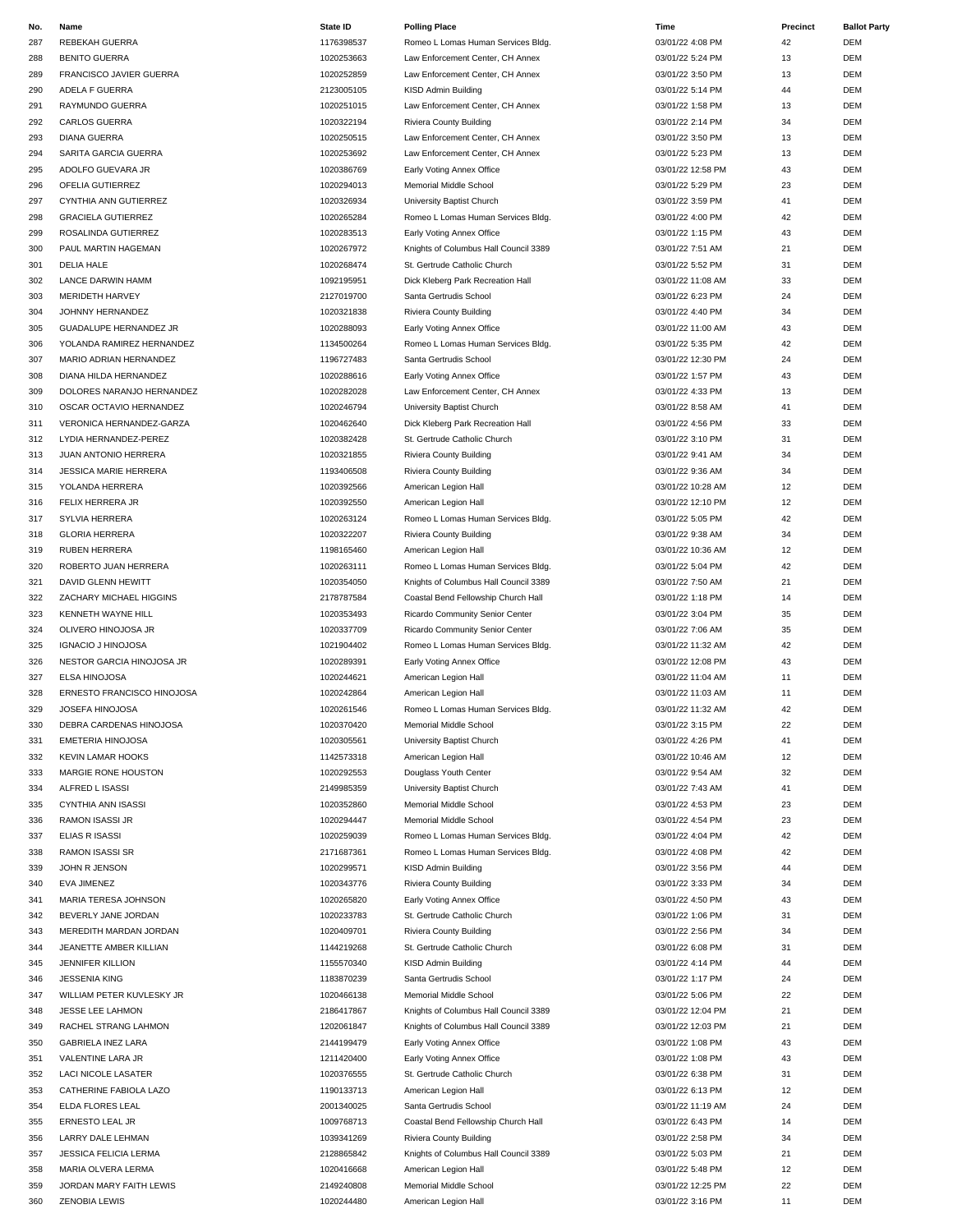| No. | Name                           | State ID   | <b>Polling Place</b>                  | Time              | Precinct | <b>Ballot Party</b> |
|-----|--------------------------------|------------|---------------------------------------|-------------------|----------|---------------------|
| 287 | REBEKAH GUERRA                 | 1176398537 | Romeo L Lomas Human Services Bldg.    | 03/01/22 4:08 PM  | 42       | DEM                 |
| 288 | <b>BENITO GUERRA</b>           | 1020253663 | Law Enforcement Center, CH Annex      | 03/01/22 5:24 PM  | 13       | <b>DEM</b>          |
| 289 | <b>FRANCISCO JAVIER GUERRA</b> | 1020252859 | Law Enforcement Center, CH Annex      | 03/01/22 3:50 PM  | 13       | DEM                 |
| 290 | ADELA F GUERRA                 | 2123005105 | KISD Admin Building                   | 03/01/22 5:14 PM  | 44       | DEM                 |
| 291 | RAYMUNDO GUERRA                | 1020251015 | Law Enforcement Center, CH Annex      | 03/01/22 1:58 PM  | 13       | DEM                 |
| 292 | CARLOS GUERRA                  | 1020322194 | Riviera County Building               | 03/01/22 2:14 PM  | 34       | DEM                 |
| 293 | <b>DIANA GUERRA</b>            | 1020250515 | Law Enforcement Center, CH Annex      | 03/01/22 3:50 PM  | 13       | DEM                 |
| 294 | SARITA GARCIA GUERRA           | 1020253692 | Law Enforcement Center, CH Annex      | 03/01/22 5:23 PM  | 13       | DEM                 |
| 295 | ADOLFO GUEVARA JR              | 1020386769 | Early Voting Annex Office             | 03/01/22 12:58 PM | 43       | DEM                 |
|     | OFELIA GUTIERREZ               |            |                                       |                   | 23       | DEM                 |
| 296 |                                | 1020294013 | Memorial Middle School                | 03/01/22 5:29 PM  |          |                     |
| 297 | CYNTHIA ANN GUTIERREZ          | 1020326934 | University Baptist Church             | 03/01/22 3:59 PM  | 41       | <b>DEM</b>          |
| 298 | <b>GRACIELA GUTIERREZ</b>      | 1020265284 | Romeo L Lomas Human Services Bldg.    | 03/01/22 4:00 PM  | 42       | DEM                 |
| 299 | ROSALINDA GUTIERREZ            | 1020283513 | Early Voting Annex Office             | 03/01/22 1:15 PM  | 43       | DEM                 |
| 300 | PAUL MARTIN HAGEMAN            | 1020267972 | Knights of Columbus Hall Council 3389 | 03/01/22 7:51 AM  | 21       | DEM                 |
| 301 | <b>DELIA HALE</b>              | 1020268474 | St. Gertrude Catholic Church          | 03/01/22 5:52 PM  | 31       | DEM                 |
| 302 | LANCE DARWIN HAMM              | 1092195951 | Dick Kleberg Park Recreation Hall     | 03/01/22 11:08 AM | 33       | <b>DEM</b>          |
| 303 | MERIDETH HARVEY                | 2127019700 | Santa Gertrudis School                | 03/01/22 6:23 PM  | 24       | DEM                 |
| 304 | JOHNNY HERNANDEZ               | 1020321838 | Riviera County Building               | 03/01/22 4:40 PM  | 34       | <b>DEM</b>          |
| 305 | GUADALUPE HERNANDEZ JR         | 1020288093 | Early Voting Annex Office             | 03/01/22 11:00 AM | 43       | DEM                 |
| 306 | YOLANDA RAMIREZ HERNANDEZ      | 1134500264 | Romeo L Lomas Human Services Bldg.    | 03/01/22 5:35 PM  | 42       | DEM                 |
| 307 | MARIO ADRIAN HERNANDEZ         | 1196727483 | Santa Gertrudis School                | 03/01/22 12:30 PM | 24       | <b>DEM</b>          |
| 308 | DIANA HILDA HERNANDEZ          | 1020288616 | Early Voting Annex Office             | 03/01/22 1:57 PM  | 43       | <b>DEM</b>          |
| 309 | DOLORES NARANJO HERNANDEZ      | 1020282028 | Law Enforcement Center, CH Annex      | 03/01/22 4:33 PM  | 13       | DEM                 |
| 310 | OSCAR OCTAVIO HERNANDEZ        | 1020246794 | University Baptist Church             | 03/01/22 8:58 AM  | 41       | DEM                 |
| 311 | VERONICA HERNANDEZ-GARZA       | 1020462640 | Dick Kleberg Park Recreation Hall     | 03/01/22 4:56 PM  | 33       | DEM                 |
|     |                                | 1020382428 |                                       | 03/01/22 3:10 PM  | 31       | DEM                 |
| 312 | LYDIA HERNANDEZ-PEREZ          |            | St. Gertrude Catholic Church          |                   |          |                     |
| 313 | JUAN ANTONIO HERRERA           | 1020321855 | Riviera County Building               | 03/01/22 9:41 AM  | 34       | DEM                 |
| 314 | <b>JESSICA MARIE HERRERA</b>   | 1193406508 | Riviera County Building               | 03/01/22 9:36 AM  | 34       | DEM                 |
| 315 | YOLANDA HERRERA                | 1020392566 | American Legion Hall                  | 03/01/22 10:28 AM | 12       | DEM                 |
| 316 | FELIX HERRERA JR               | 1020392550 | American Legion Hall                  | 03/01/22 12:10 PM | 12       | DEM                 |
| 317 | SYLVIA HERRERA                 | 1020263124 | Romeo L Lomas Human Services Bldg.    | 03/01/22 5:05 PM  | 42       | <b>DEM</b>          |
| 318 | <b>GLORIA HERRERA</b>          | 1020322207 | Riviera County Building               | 03/01/22 9:38 AM  | 34       | <b>DEM</b>          |
| 319 | <b>RUBEN HERRERA</b>           | 1198165460 | American Legion Hall                  | 03/01/22 10:36 AM | 12       | <b>DEM</b>          |
| 320 | ROBERTO JUAN HERRERA           | 1020263111 | Romeo L Lomas Human Services Bldg.    | 03/01/22 5:04 PM  | 42       | DEM                 |
| 321 | DAVID GLENN HEWITT             | 1020354050 | Knights of Columbus Hall Council 3389 | 03/01/22 7:50 AM  | 21       | DEM                 |
| 322 | ZACHARY MICHAEL HIGGINS        | 2178787584 | Coastal Bend Fellowship Church Hall   | 03/01/22 1:18 PM  | 14       | DEM                 |
| 323 | KENNETH WAYNE HILL             | 1020353493 | Ricardo Community Senior Center       | 03/01/22 3:04 PM  | 35       | DEM                 |
| 324 | OLIVERO HINOJOSA JR            | 1020337709 | Ricardo Community Senior Center       | 03/01/22 7:06 AM  | 35       | <b>DEM</b>          |
| 325 | <b>IGNACIO J HINOJOSA</b>      | 1021904402 | Romeo L Lomas Human Services Bldg.    | 03/01/22 11:32 AM | 42       | DEM                 |
| 326 | NESTOR GARCIA HINOJOSA JR      | 1020289391 | Early Voting Annex Office             | 03/01/22 12:08 PM | 43       | DEM                 |
| 327 | ELSA HINOJOSA                  | 1020244621 | American Legion Hall                  | 03/01/22 11:04 AM | 11       | <b>DEM</b>          |
| 328 | ERNESTO FRANCISCO HINOJOSA     | 1020242864 | American Legion Hall                  | 03/01/22 11:03 AM | 11       | DEM                 |
| 329 | JOSEFA HINOJOSA                | 1020261546 | Romeo L Lomas Human Services Bldg.    | 03/01/22 11:32 AM | 42       | <b>DEM</b>          |
| 330 | DEBRA CARDENAS HINOJOSA        | 1020370420 | Memorial Middle School                | 03/01/22 3:15 PM  | 22       | DEM                 |
| 331 | EMETERIA HINOJOSA              | 1020305561 | University Baptist Church             | 03/01/22 4:26 PM  | 41       | DEM                 |
|     |                                |            |                                       |                   |          |                     |
| 332 | <b>KEVIN LAMAR HOOKS</b>       | 1142573318 | American Legion Hall                  | 03/01/22 10:46 AM | 12       | DEM                 |
| 333 | MARGIE RONE HOUSTON            | 1020292553 | Douglass Youth Center                 | 03/01/22 9:54 AM  | 32       | DEM                 |
| 334 | ALFRED L ISASSI                | 2149985359 | University Baptist Church             | 03/01/22 7:43 AM  | 41       | DEM                 |
| 335 | <b>CYNTHIA ANN ISASSI</b>      | 1020352860 | Memorial Middle School                | 03/01/22 4:53 PM  | 23       | DEM                 |
| 336 | <b>RAMON ISASSI JR</b>         | 1020294447 | Memorial Middle School                | 03/01/22 4:54 PM  | 23       | DEM                 |
| 337 | <b>ELIAS R ISASSI</b>          | 1020259039 | Romeo L Lomas Human Services Bldg.    | 03/01/22 4:04 PM  | 42       | DEM                 |
| 338 | RAMON ISASSI SR                | 2171687361 | Romeo L Lomas Human Services Bldg.    | 03/01/22 4:08 PM  | 42       | DEM                 |
| 339 | JOHN R JENSON                  | 1020299571 | KISD Admin Building                   | 03/01/22 3:56 PM  | 44       | DEM                 |
| 340 | EVA JIMENEZ                    | 1020343776 | Riviera County Building               | 03/01/22 3:33 PM  | 34       | DEM                 |
| 341 | MARIA TERESA JOHNSON           | 1020265820 | Early Voting Annex Office             | 03/01/22 4:50 PM  | 43       | DEM                 |
| 342 | BEVERLY JANE JORDAN            | 1020233783 | St. Gertrude Catholic Church          | 03/01/22 1:06 PM  | 31       | DEM                 |
| 343 | MEREDITH MARDAN JORDAN         | 1020409701 | Riviera County Building               | 03/01/22 2:56 PM  | 34       | DEM                 |
| 344 | JEANETTE AMBER KILLIAN         | 1144219268 | St. Gertrude Catholic Church          | 03/01/22 6:08 PM  | 31       | DEM                 |
| 345 | <b>JENNIFER KILLION</b>        | 1155570340 | KISD Admin Building                   | 03/01/22 4:14 PM  | 44       | DEM                 |
| 346 | <b>JESSENIA KING</b>           | 1183870239 | Santa Gertrudis School                | 03/01/22 1:17 PM  | 24       | DEM                 |
| 347 | WILLIAM PETER KUVLESKY JR      | 1020466138 | Memorial Middle School                | 03/01/22 5:06 PM  | 22       | DEM                 |
| 348 | JESSE LEE LAHMON               | 2186417867 | Knights of Columbus Hall Council 3389 | 03/01/22 12:04 PM | 21       | DEM                 |
| 349 | RACHEL STRANG LAHMON           | 1202061847 | Knights of Columbus Hall Council 3389 | 03/01/22 12:03 PM | 21       | DEM                 |
|     |                                |            |                                       |                   |          |                     |
| 350 | <b>GABRIELA INEZ LARA</b>      | 2144199479 | Early Voting Annex Office             | 03/01/22 1:08 PM  | 43       | DEM                 |
| 351 | VALENTINE LARA JR              | 1211420400 | Early Voting Annex Office             | 03/01/22 1:08 PM  | 43       | DEM                 |
| 352 | LACI NICOLE LASATER            | 1020376555 | St. Gertrude Catholic Church          | 03/01/22 6:38 PM  | 31       | DEM                 |
| 353 | CATHERINE FABIOLA LAZO         | 1190133713 | American Legion Hall                  | 03/01/22 6:13 PM  | 12       | DEM                 |
| 354 | ELDA FLORES LEAL               | 2001340025 | Santa Gertrudis School                | 03/01/22 11:19 AM | 24       | DEM                 |
| 355 | ERNESTO LEAL JR                | 1009768713 | Coastal Bend Fellowship Church Hall   | 03/01/22 6:43 PM  | 14       | DEM                 |
| 356 | LARRY DALE LEHMAN              | 1039341269 | Riviera County Building               | 03/01/22 2:58 PM  | 34       | DEM                 |
| 357 | <b>JESSICA FELICIA LERMA</b>   | 2128865842 | Knights of Columbus Hall Council 3389 | 03/01/22 5:03 PM  | 21       | DEM                 |
| 358 | MARIA OLVERA LERMA             | 1020416668 | American Legion Hall                  | 03/01/22 5:48 PM  | 12       | DEM                 |
| 359 | JORDAN MARY FAITH LEWIS        | 2149240808 | Memorial Middle School                | 03/01/22 12:25 PM | 22       | DEM                 |
| 360 | <b>ZENOBIA LEWIS</b>           | 1020244480 | American Legion Hall                  | 03/01/22 3:16 PM  | 11       | DEM                 |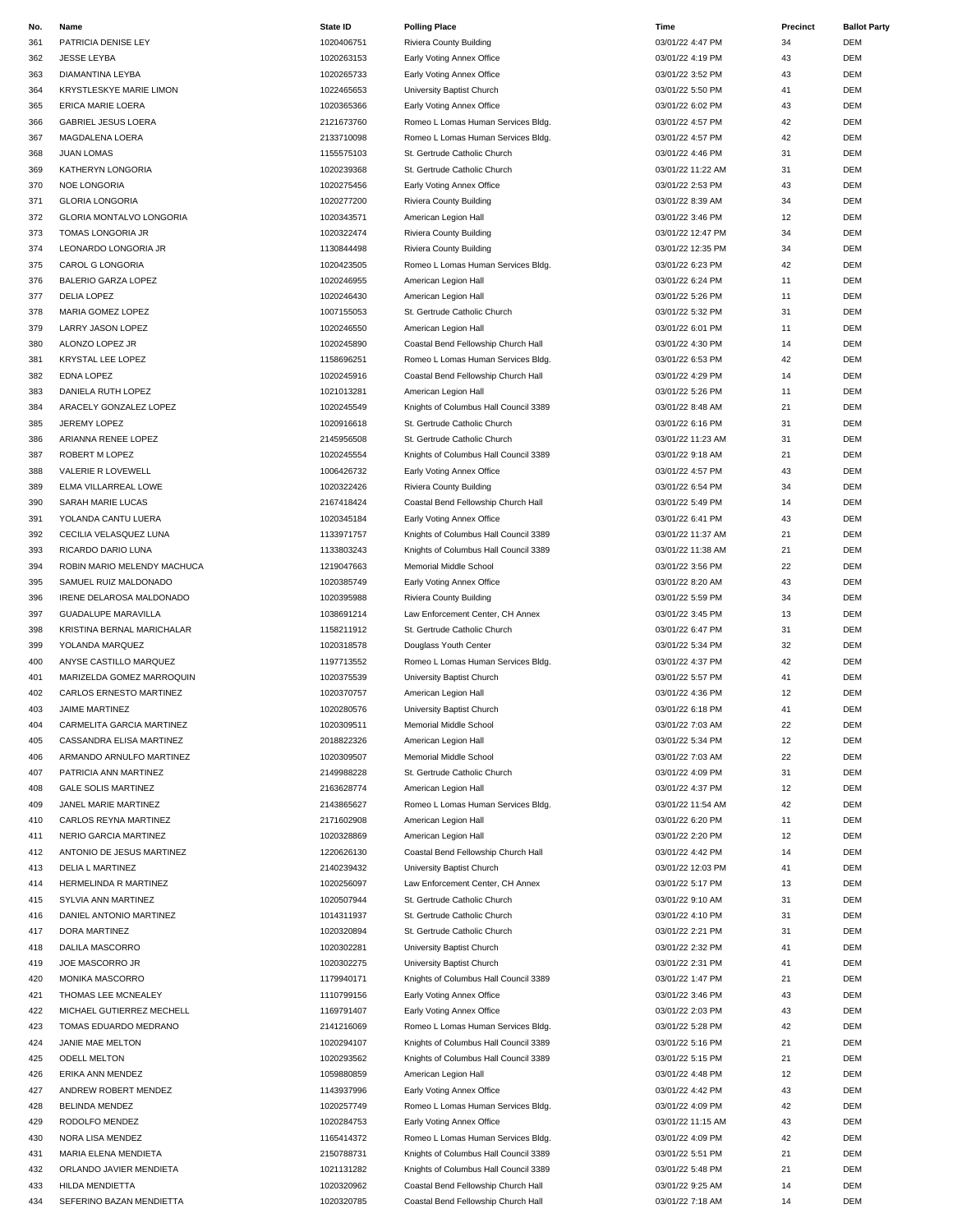| No. | Name                            | State ID   | <b>Polling Place</b>                  | Time              | Precinct | <b>Ballot Party</b> |
|-----|---------------------------------|------------|---------------------------------------|-------------------|----------|---------------------|
| 361 | PATRICIA DENISE LEY             | 1020406751 | Riviera County Building               | 03/01/22 4:47 PM  | 34       | DEM                 |
| 362 | <b>JESSE LEYBA</b>              | 1020263153 | Early Voting Annex Office             | 03/01/22 4:19 PM  | 43       | DEM                 |
| 363 | DIAMANTINA LEYBA                | 1020265733 | Early Voting Annex Office             | 03/01/22 3:52 PM  | 43       | DEM                 |
| 364 | <b>KRYSTLESKYE MARIE LIMON</b>  | 1022465653 | University Baptist Church             | 03/01/22 5:50 PM  | 41       | DEM                 |
| 365 | ERICA MARIE LOERA               | 1020365366 | Early Voting Annex Office             | 03/01/22 6:02 PM  | 43       | DEM                 |
|     | <b>GABRIEL JESUS LOERA</b>      |            | Romeo L Lomas Human Services Bldg.    | 03/01/22 4:57 PM  | 42       | DEM                 |
| 366 |                                 | 2121673760 |                                       |                   |          |                     |
| 367 | MAGDALENA LOERA                 | 2133710098 | Romeo L Lomas Human Services Bldg.    | 03/01/22 4:57 PM  | 42       | DEM                 |
| 368 | <b>JUAN LOMAS</b>               | 1155575103 | St. Gertrude Catholic Church          | 03/01/22 4:46 PM  | 31       | DEM                 |
| 369 | KATHERYN LONGORIA               | 1020239368 | St. Gertrude Catholic Church          | 03/01/22 11:22 AM | 31       | DEM                 |
| 370 | NOE LONGORIA                    | 1020275456 | Early Voting Annex Office             | 03/01/22 2:53 PM  | 43       | DEM                 |
| 371 | <b>GLORIA LONGORIA</b>          | 1020277200 | Riviera County Building               | 03/01/22 8:39 AM  | 34       | <b>DEM</b>          |
|     | <b>GLORIA MONTALVO LONGORIA</b> | 1020343571 |                                       | 03/01/22 3:46 PM  |          |                     |
| 372 |                                 |            | American Legion Hall                  |                   | 12       | DEM                 |
| 373 | TOMAS LONGORIA JR               | 1020322474 | Riviera County Building               | 03/01/22 12:47 PM | 34       | DEM                 |
| 374 | LEONARDO LONGORIA JR            | 1130844498 | Riviera County Building               | 03/01/22 12:35 PM | 34       | DEM                 |
| 375 | CAROL G LONGORIA                | 1020423505 | Romeo L Lomas Human Services Bldg.    | 03/01/22 6:23 PM  | 42       | DEM                 |
| 376 | <b>BALERIO GARZA LOPEZ</b>      | 1020246955 | American Legion Hall                  | 03/01/22 6:24 PM  | 11       | DEM                 |
| 377 | <b>DELIA LOPEZ</b>              | 1020246430 |                                       | 03/01/22 5:26 PM  | 11       | DEM                 |
|     |                                 |            | American Legion Hall                  |                   |          |                     |
| 378 | MARIA GOMEZ LOPEZ               | 1007155053 | St. Gertrude Catholic Church          | 03/01/22 5:32 PM  | 31       | DEM                 |
| 379 | LARRY JASON LOPEZ               | 1020246550 | American Legion Hall                  | 03/01/22 6:01 PM  | 11       | DEM                 |
| 380 | ALONZO LOPEZ JR                 | 1020245890 | Coastal Bend Fellowship Church Hall   | 03/01/22 4:30 PM  | 14       | DEM                 |
| 381 | <b>KRYSTAL LEE LOPEZ</b>        | 1158696251 | Romeo L Lomas Human Services Bldg.    | 03/01/22 6:53 PM  | 42       | DEM                 |
| 382 | EDNA LOPEZ                      | 1020245916 | Coastal Bend Fellowship Church Hall   | 03/01/22 4:29 PM  | 14       | DEM                 |
|     |                                 |            |                                       |                   |          |                     |
| 383 | DANIELA RUTH LOPEZ              | 1021013281 | American Legion Hall                  | 03/01/22 5:26 PM  | 11       | DEM                 |
| 384 | ARACELY GONZALEZ LOPEZ          | 1020245549 | Knights of Columbus Hall Council 3389 | 03/01/22 8:48 AM  | 21       | DEM                 |
| 385 | <b>JEREMY LOPEZ</b>             | 1020916618 | St. Gertrude Catholic Church          | 03/01/22 6:16 PM  | 31       | DEM                 |
| 386 | ARIANNA RENEE LOPEZ             | 2145956508 | St. Gertrude Catholic Church          | 03/01/22 11:23 AM | 31       | DEM                 |
| 387 | ROBERT M LOPEZ                  | 1020245554 | Knights of Columbus Hall Council 3389 | 03/01/22 9:18 AM  | 21       | DEM                 |
|     |                                 |            |                                       |                   |          |                     |
| 388 | VALERIE R LOVEWELL              | 1006426732 | Early Voting Annex Office             | 03/01/22 4:57 PM  | 43       | DEM                 |
| 389 | ELMA VILLARREAL LOWE            | 1020322426 | Riviera County Building               | 03/01/22 6:54 PM  | 34       | DEM                 |
| 390 | SARAH MARIE LUCAS               | 2167418424 | Coastal Bend Fellowship Church Hall   | 03/01/22 5:49 PM  | 14       | DEM                 |
| 391 | YOLANDA CANTU LUERA             | 1020345184 | Early Voting Annex Office             | 03/01/22 6:41 PM  | 43       | DEM                 |
| 392 | CECILIA VELASQUEZ LUNA          | 1133971757 | Knights of Columbus Hall Council 3389 | 03/01/22 11:37 AM | 21       | <b>DEM</b>          |
|     |                                 |            |                                       |                   |          |                     |
| 393 | RICARDO DARIO LUNA              | 1133803243 | Knights of Columbus Hall Council 3389 | 03/01/22 11:38 AM | 21       | DEM                 |
| 394 | ROBIN MARIO MELENDY MACHUCA     | 1219047663 | Memorial Middle School                | 03/01/22 3:56 PM  | 22       | DEM                 |
| 395 | SAMUEL RUIZ MALDONADO           | 1020385749 | Early Voting Annex Office             | 03/01/22 8:20 AM  | 43       | DEM                 |
| 396 | IRENE DELAROSA MALDONADO        | 1020395988 | Riviera County Building               | 03/01/22 5:59 PM  | 34       | DEM                 |
| 397 | <b>GUADALUPE MARAVILLA</b>      | 1038691214 | Law Enforcement Center, CH Annex      | 03/01/22 3:45 PM  | 13       | DEM                 |
| 398 | KRISTINA BERNAL MARICHALAR      | 1158211912 | St. Gertrude Catholic Church          | 03/01/22 6:47 PM  | 31       | DEM                 |
|     |                                 |            |                                       |                   |          |                     |
| 399 | YOLANDA MARQUEZ                 | 1020318578 | Douglass Youth Center                 | 03/01/22 5:34 PM  | 32       | DEM                 |
| 400 | ANYSE CASTILLO MARQUEZ          | 1197713552 | Romeo L Lomas Human Services Bldg.    | 03/01/22 4:37 PM  | 42       | DEM                 |
| 401 | MARIZELDA GOMEZ MARROQUIN       | 1020375539 | University Baptist Church             | 03/01/22 5:57 PM  | 41       | DEM                 |
| 402 | CARLOS ERNESTO MARTINEZ         | 1020370757 | American Legion Hall                  | 03/01/22 4:36 PM  | 12       | DEM                 |
| 403 | <b>JAIME MARTINEZ</b>           | 1020280576 | University Baptist Church             | 03/01/22 6:18 PM  | 41       | <b>DEM</b>          |
|     |                                 |            |                                       |                   |          |                     |
| 404 | CARMELITA GARCIA MARTINEZ       | 1020309511 | Memorial Middle School                | 03/01/22 7:03 AM  | 22       | DEM                 |
| 405 | CASSANDRA ELISA MARTINEZ        | 2018822326 | American Legion Hall                  | 03/01/22 5:34 PM  | 12       | DEM                 |
| 406 | ARMANDO ARNULFO MARTINEZ        | 1020309507 | Memorial Middle School                | 03/01/22 7:03 AM  | 22       | DEM                 |
| 407 | PATRICIA ANN MARTINEZ           | 2149988228 | St. Gertrude Catholic Church          | 03/01/22 4:09 PM  | 31       | DEM                 |
| 408 | <b>GALE SOLIS MARTINEZ</b>      | 2163628774 | American Legion Hall                  | 03/01/22 4:37 PM  | 12       | DEM                 |
|     | JANEL MARIE MARTINEZ            | 2143865627 | Romeo L Lomas Human Services Bldg.    | 03/01/22 11:54 AM | 42       | DEM                 |
| 409 |                                 |            |                                       |                   |          |                     |
| 410 | CARLOS REYNA MARTINEZ           | 2171602908 | American Legion Hall                  | 03/01/22 6:20 PM  | 11       | DEM                 |
| 411 | NERIO GARCIA MARTINEZ           | 1020328869 | American Legion Hall                  | 03/01/22 2:20 PM  | 12       | DEM                 |
| 412 | ANTONIO DE JESUS MARTINEZ       | 1220626130 | Coastal Bend Fellowship Church Hall   | 03/01/22 4:42 PM  | 14       | DEM                 |
| 413 | <b>DELIA L MARTINEZ</b>         | 2140239432 | University Baptist Church             | 03/01/22 12:03 PM | 41       | DEM                 |
| 414 | HERMELINDA R MARTINEZ           | 1020256097 | Law Enforcement Center, CH Annex      | 03/01/22 5:17 PM  | 13       | DEM                 |
|     |                                 |            | St. Gertrude Catholic Church          |                   |          | DEM                 |
| 415 | SYLVIA ANN MARTINEZ             | 1020507944 |                                       | 03/01/22 9:10 AM  | 31       |                     |
| 416 | DANIEL ANTONIO MARTINEZ         | 1014311937 | St. Gertrude Catholic Church          | 03/01/22 4:10 PM  | 31       | DEM                 |
| 417 | DORA MARTINEZ                   | 1020320894 | St. Gertrude Catholic Church          | 03/01/22 2:21 PM  | 31       | DEM                 |
| 418 | DALILA MASCORRO                 | 1020302281 | University Baptist Church             | 03/01/22 2:32 PM  | 41       | DEM                 |
| 419 | JOE MASCORRO JR                 | 1020302275 | University Baptist Church             | 03/01/22 2:31 PM  | 41       | DEM                 |
|     |                                 |            |                                       |                   |          | DEM                 |
| 420 | MONIKA MASCORRO                 | 1179940171 | Knights of Columbus Hall Council 3389 | 03/01/22 1:47 PM  | 21       |                     |
| 421 | THOMAS LEE MCNEALEY             | 1110799156 | Early Voting Annex Office             | 03/01/22 3:46 PM  | 43       | DEM                 |
| 422 | MICHAEL GUTIERREZ MECHELL       | 1169791407 | Early Voting Annex Office             | 03/01/22 2:03 PM  | 43       | DEM                 |
| 423 | TOMAS EDUARDO MEDRANO           | 2141216069 | Romeo L Lomas Human Services Bldg.    | 03/01/22 5:28 PM  | 42       | DEM                 |
| 424 | JANIE MAE MELTON                | 1020294107 | Knights of Columbus Hall Council 3389 | 03/01/22 5:16 PM  | 21       | DEM                 |
|     | <b>ODELL MELTON</b>             | 1020293562 |                                       | 03/01/22 5:15 PM  | 21       | DEM                 |
| 425 |                                 |            | Knights of Columbus Hall Council 3389 |                   |          |                     |
| 426 | ERIKA ANN MENDEZ                | 1059880859 | American Legion Hall                  | 03/01/22 4:48 PM  | 12       | DEM                 |
| 427 | ANDREW ROBERT MENDEZ            | 1143937996 | Early Voting Annex Office             | 03/01/22 4:42 PM  | 43       | DEM                 |
| 428 | BELINDA MENDEZ                  | 1020257749 | Romeo L Lomas Human Services Bldg.    | 03/01/22 4:09 PM  | 42       | DEM                 |
| 429 | RODOLFO MENDEZ                  | 1020284753 | Early Voting Annex Office             | 03/01/22 11:15 AM | 43       | DEM                 |
| 430 | NORA LISA MENDEZ                | 1165414372 | Romeo L Lomas Human Services Bldg.    | 03/01/22 4:09 PM  | 42       | DEM                 |
|     |                                 |            |                                       |                   |          |                     |
| 431 | MARIA ELENA MENDIETA            | 2150788731 | Knights of Columbus Hall Council 3389 | 03/01/22 5:51 PM  | 21       | DEM                 |
| 432 | ORLANDO JAVIER MENDIETA         | 1021131282 | Knights of Columbus Hall Council 3389 | 03/01/22 5:48 PM  | 21       | DEM                 |
| 433 | HILDA MENDIETTA                 | 1020320962 | Coastal Bend Fellowship Church Hall   | 03/01/22 9:25 AM  | 14       | DEM                 |
| 434 | SEFERINO BAZAN MENDIETTA        | 1020320785 | Coastal Bend Fellowship Church Hall   | 03/01/22 7:18 AM  | 14       | DEM                 |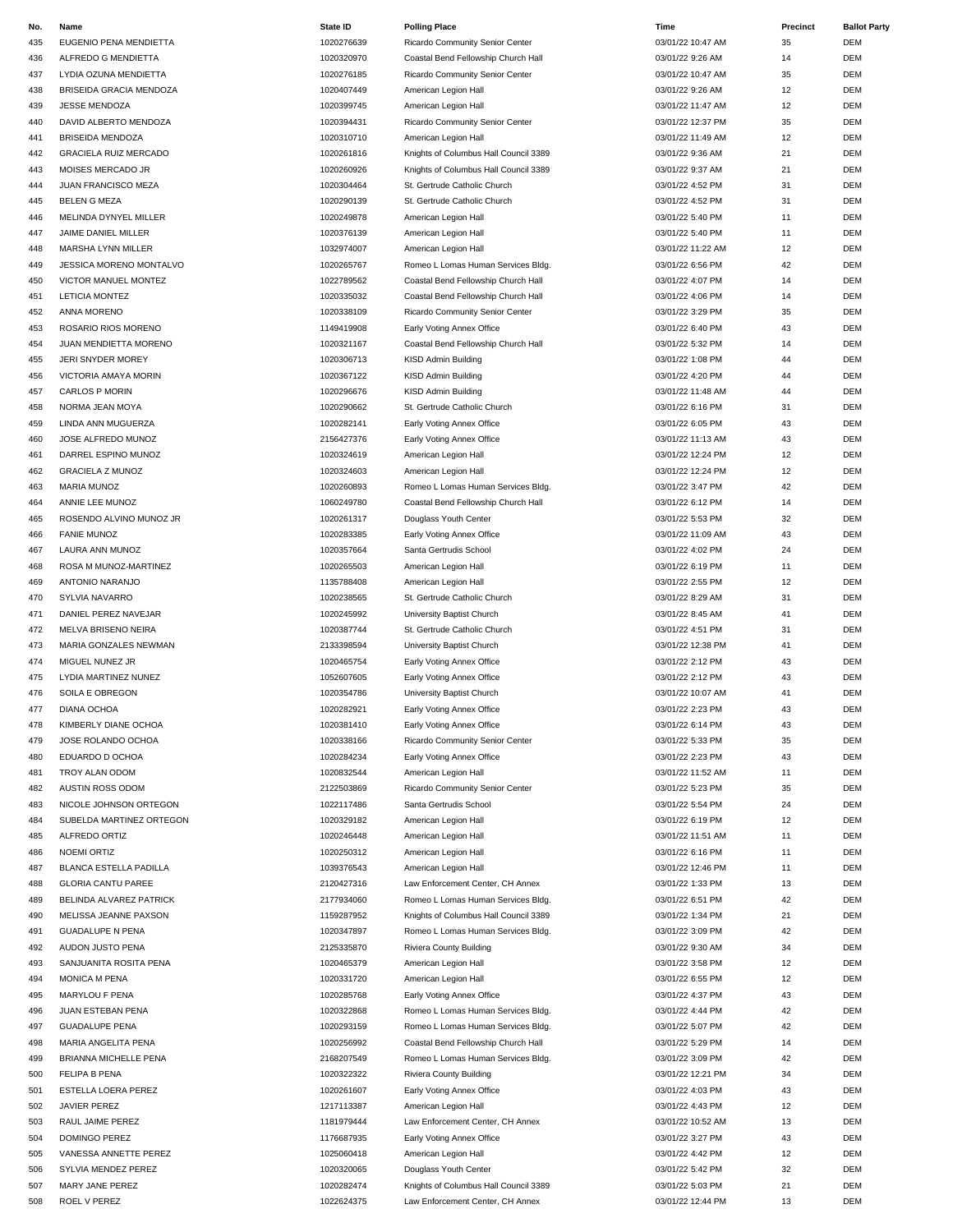| No. | Name                         | State ID   | <b>Polling Place</b>                  | Time              | Precinct | <b>Ballot Party</b> |
|-----|------------------------------|------------|---------------------------------------|-------------------|----------|---------------------|
| 435 | EUGENIO PENA MENDIETTA       | 1020276639 | Ricardo Community Senior Center       | 03/01/22 10:47 AM | 35       | <b>DEM</b>          |
| 436 | ALFREDO G MENDIETTA          | 1020320970 | Coastal Bend Fellowship Church Hall   | 03/01/22 9:26 AM  | 14       | <b>DEM</b>          |
| 437 | LYDIA OZUNA MENDIETTA        | 1020276185 | Ricardo Community Senior Center       | 03/01/22 10:47 AM | 35       | <b>DEM</b>          |
|     |                              |            |                                       |                   |          |                     |
| 438 | BRISEIDA GRACIA MENDOZA      | 1020407449 | American Legion Hall                  | 03/01/22 9:26 AM  | 12       | DEM                 |
| 439 | <b>JESSE MENDOZA</b>         | 1020399745 | American Legion Hall                  | 03/01/22 11:47 AM | 12       | <b>DEM</b>          |
| 440 | DAVID ALBERTO MENDOZA        | 1020394431 | Ricardo Community Senior Center       | 03/01/22 12:37 PM | 35       | DEM                 |
| 441 | BRISEIDA MENDOZA             | 1020310710 | American Legion Hall                  | 03/01/22 11:49 AM | 12       | DEM                 |
| 442 | <b>GRACIELA RUIZ MERCADO</b> | 1020261816 | Knights of Columbus Hall Council 3389 | 03/01/22 9:36 AM  | 21       | DEM                 |
| 443 | MOISES MERCADO JR            | 1020260926 | Knights of Columbus Hall Council 3389 | 03/01/22 9:37 AM  | 21       | <b>DEM</b>          |
| 444 | JUAN FRANCISCO MEZA          | 1020304464 | St. Gertrude Catholic Church          | 03/01/22 4:52 PM  | 31       | DEM                 |
|     |                              |            |                                       |                   |          |                     |
| 445 | <b>BELEN G MEZA</b>          | 1020290139 | St. Gertrude Catholic Church          | 03/01/22 4:52 PM  | 31       | DEM                 |
| 446 | MELINDA DYNYEL MILLER        | 1020249878 | American Legion Hall                  | 03/01/22 5:40 PM  | 11       | DEM                 |
| 447 | JAIME DANIEL MILLER          | 1020376139 | American Legion Hall                  | 03/01/22 5:40 PM  | 11       | DEM                 |
| 448 | MARSHA LYNN MILLER           | 1032974007 | American Legion Hall                  | 03/01/22 11:22 AM | 12       | DEM                 |
| 449 | JESSICA MORENO MONTALVO      | 1020265767 | Romeo L Lomas Human Services Bldg.    | 03/01/22 6:56 PM  | 42       | <b>DEM</b>          |
| 450 | VICTOR MANUEL MONTEZ         | 1022789562 | Coastal Bend Fellowship Church Hall   | 03/01/22 4:07 PM  | 14       | DEM                 |
|     |                              |            |                                       |                   | 14       | DEM                 |
| 451 | <b>LETICIA MONTEZ</b>        | 1020335032 | Coastal Bend Fellowship Church Hall   | 03/01/22 4:06 PM  |          |                     |
| 452 | ANNA MORENO                  | 1020338109 | Ricardo Community Senior Center       | 03/01/22 3:29 PM  | 35       | DEM                 |
| 453 | ROSARIO RIOS MORENO          | 1149419908 | Early Voting Annex Office             | 03/01/22 6:40 PM  | 43       | <b>DEM</b>          |
| 454 | JUAN MENDIETTA MORENO        | 1020321167 | Coastal Bend Fellowship Church Hall   | 03/01/22 5:32 PM  | 14       | DEM                 |
| 455 | JERI SNYDER MOREY            | 1020306713 | KISD Admin Building                   | 03/01/22 1:08 PM  | 44       | <b>DEM</b>          |
| 456 | VICTORIA AMAYA MORIN         | 1020367122 | KISD Admin Building                   | 03/01/22 4:20 PM  | 44       | <b>DEM</b>          |
|     |                              |            |                                       |                   |          | DEM                 |
| 457 | CARLOS P MORIN               | 1020296676 | KISD Admin Building                   | 03/01/22 11:48 AM | 44       |                     |
| 458 | NORMA JEAN MOYA              | 1020290662 | St. Gertrude Catholic Church          | 03/01/22 6:16 PM  | 31       | DEM                 |
| 459 | LINDA ANN MUGUERZA           | 1020282141 | Early Voting Annex Office             | 03/01/22 6:05 PM  | 43       | <b>DEM</b>          |
| 460 | JOSE ALFREDO MUNOZ           | 2156427376 | Early Voting Annex Office             | 03/01/22 11:13 AM | 43       | DEM                 |
| 461 | DARREL ESPINO MUNOZ          | 1020324619 | American Legion Hall                  | 03/01/22 12:24 PM | 12       | DEM                 |
| 462 | <b>GRACIELA Z MUNOZ</b>      | 1020324603 | American Legion Hall                  | 03/01/22 12:24 PM | 12       | DEM                 |
| 463 | MARIA MUNOZ                  | 1020260893 | Romeo L Lomas Human Services Bldg.    | 03/01/22 3:47 PM  | 42       | <b>DEM</b>          |
|     |                              |            |                                       |                   |          |                     |
| 464 | ANNIE LEE MUNOZ              | 1060249780 | Coastal Bend Fellowship Church Hall   | 03/01/22 6:12 PM  | 14       | DEM                 |
| 465 | ROSENDO ALVINO MUNOZ JR      | 1020261317 | Douglass Youth Center                 | 03/01/22 5:53 PM  | 32       | <b>DEM</b>          |
| 466 | <b>FANIE MUNOZ</b>           | 1020283385 | Early Voting Annex Office             | 03/01/22 11:09 AM | 43       | <b>DEM</b>          |
| 467 | LAURA ANN MUNOZ              | 1020357664 | Santa Gertrudis School                | 03/01/22 4:02 PM  | 24       | DEM                 |
| 468 | ROSA M MUNOZ-MARTINEZ        | 1020265503 | American Legion Hall                  | 03/01/22 6:19 PM  | 11       | DEM                 |
| 469 | ANTONIO NARANJO              | 1135788408 | American Legion Hall                  | 03/01/22 2:55 PM  | 12       | <b>DEM</b>          |
|     |                              |            |                                       |                   |          |                     |
| 470 | SYLVIA NAVARRO               | 1020238565 | St. Gertrude Catholic Church          | 03/01/22 8:29 AM  | 31       | DEM                 |
| 471 | DANIEL PEREZ NAVEJAR         | 1020245992 | University Baptist Church             | 03/01/22 8:45 AM  | 41       | DEM                 |
| 472 | <b>MELVA BRISENO NEIRA</b>   | 1020387744 | St. Gertrude Catholic Church          | 03/01/22 4:51 PM  | 31       | DEM                 |
| 473 | MARIA GONZALES NEWMAN        | 2133398594 | University Baptist Church             | 03/01/22 12:38 PM | 41       | <b>DEM</b>          |
| 474 | MIGUEL NUNEZ JR              | 1020465754 | Early Voting Annex Office             | 03/01/22 2:12 PM  | 43       | DEM                 |
| 475 | <b>LYDIA MARTINEZ NUNEZ</b>  | 1052607605 | Early Voting Annex Office             | 03/01/22 2:12 PM  | 43       | DEM                 |
| 476 | SOILA E OBREGON              | 1020354786 | University Baptist Church             | 03/01/22 10:07 AM | 41       | <b>DEM</b>          |
|     |                              |            |                                       |                   |          |                     |
| 477 | <b>DIANA OCHOA</b>           | 1020282921 | Early Voting Annex Office             | 03/01/22 2:23 PM  | 43       | <b>DEM</b>          |
| 478 | KIMBERLY DIANE OCHOA         | 1020381410 | Early Voting Annex Office             | 03/01/22 6:14 PM  | 43       | <b>DEM</b>          |
| 479 | JOSE ROLANDO OCHOA           | 1020338166 | Ricardo Community Senior Center       | 03/01/22 5:33 PM  | 35       | DEM                 |
| 480 | EDUARDO D OCHOA              | 1020284234 | Early Voting Annex Office             | 03/01/22 2:23 PM  | 43       | DEM                 |
| 481 | TROY ALAN ODOM               | 1020832544 | American Legion Hall                  | 03/01/22 11:52 AM | 11       | DEM                 |
| 482 | AUSTIN ROSS ODOM             | 2122503869 | Ricardo Community Senior Center       | 03/01/22 5:23 PM  | 35       | DEM                 |
| 483 | NICOLE JOHNSON ORTEGON       | 1022117486 | Santa Gertrudis School                | 03/01/22 5:54 PM  | 24       | DEM                 |
|     |                              |            |                                       |                   |          |                     |
| 484 | SUBELDA MARTINEZ ORTEGON     | 1020329182 | American Legion Hall                  | 03/01/22 6:19 PM  | 12       | DEM                 |
| 485 | ALFREDO ORTIZ                | 1020246448 | American Legion Hall                  | 03/01/22 11:51 AM | 11       | DEM                 |
| 486 | <b>NOEMI ORTIZ</b>           | 1020250312 | American Legion Hall                  | 03/01/22 6:16 PM  | 11       | DEM                 |
| 487 | BLANCA ESTELLA PADILLA       | 1039376543 | American Legion Hall                  | 03/01/22 12:46 PM | 11       | DEM                 |
| 488 | <b>GLORIA CANTU PAREE</b>    | 2120427316 | Law Enforcement Center, CH Annex      | 03/01/22 1:33 PM  | 13       | DEM                 |
| 489 | BELINDA ALVAREZ PATRICK      | 2177934060 | Romeo L Lomas Human Services Bldg.    | 03/01/22 6:51 PM  | 42       | DEM                 |
| 490 | MELISSA JEANNE PAXSON        | 1159287952 | Knights of Columbus Hall Council 3389 | 03/01/22 1:34 PM  | 21       | DEM                 |
|     |                              |            |                                       |                   |          | DEM                 |
| 491 | <b>GUADALUPE N PENA</b>      | 1020347897 | Romeo L Lomas Human Services Bldg.    | 03/01/22 3:09 PM  | 42       |                     |
| 492 | AUDON JUSTO PENA             | 2125335870 | Riviera County Building               | 03/01/22 9:30 AM  | 34       | DEM                 |
| 493 | SANJUANITA ROSITA PENA       | 1020465379 | American Legion Hall                  | 03/01/22 3:58 PM  | 12       | DEM                 |
| 494 | MONICA M PENA                | 1020331720 | American Legion Hall                  | 03/01/22 6:55 PM  | 12       | DEM                 |
| 495 | MARYLOU F PENA               | 1020285768 | Early Voting Annex Office             | 03/01/22 4:37 PM  | 43       | DEM                 |
| 496 | JUAN ESTEBAN PENA            | 1020322868 | Romeo L Lomas Human Services Bldg.    | 03/01/22 4:44 PM  | 42       | DEM                 |
| 497 | <b>GUADALUPE PENA</b>        | 1020293159 | Romeo L Lomas Human Services Bldg.    | 03/01/22 5:07 PM  | 42       | DEM                 |
|     |                              |            |                                       |                   |          |                     |
| 498 | MARIA ANGELITA PENA          | 1020256992 | Coastal Bend Fellowship Church Hall   | 03/01/22 5:29 PM  | 14       | DEM                 |
| 499 | BRIANNA MICHELLE PENA        | 2168207549 | Romeo L Lomas Human Services Bldg.    | 03/01/22 3:09 PM  | 42       | DEM                 |
| 500 | <b>FELIPA B PENA</b>         | 1020322322 | Riviera County Building               | 03/01/22 12:21 PM | 34       | DEM                 |
| 501 | ESTELLA LOERA PEREZ          | 1020261607 | Early Voting Annex Office             | 03/01/22 4:03 PM  | 43       | DEM                 |
| 502 | JAVIER PEREZ                 | 1217113387 | American Legion Hall                  | 03/01/22 4:43 PM  | 12       | DEM                 |
| 503 | RAUL JAIME PEREZ             | 1181979444 | Law Enforcement Center, CH Annex      | 03/01/22 10:52 AM | 13       | DEM                 |
| 504 |                              |            |                                       |                   | 43       | DEM                 |
|     | DOMINGO PEREZ                | 1176687935 | Early Voting Annex Office             | 03/01/22 3:27 PM  |          |                     |
| 505 | VANESSA ANNETTE PEREZ        | 1025060418 | American Legion Hall                  | 03/01/22 4:42 PM  | 12       | DEM                 |
| 506 | SYLVIA MENDEZ PEREZ          | 1020320065 | Douglass Youth Center                 | 03/01/22 5:42 PM  | 32       | DEM                 |
| 507 | MARY JANE PEREZ              | 1020282474 | Knights of Columbus Hall Council 3389 | 03/01/22 5:03 PM  | 21       | DEM                 |
| 508 | ROEL V PEREZ                 | 1022624375 | Law Enforcement Center, CH Annex      | 03/01/22 12:44 PM | 13       | <b>DEM</b>          |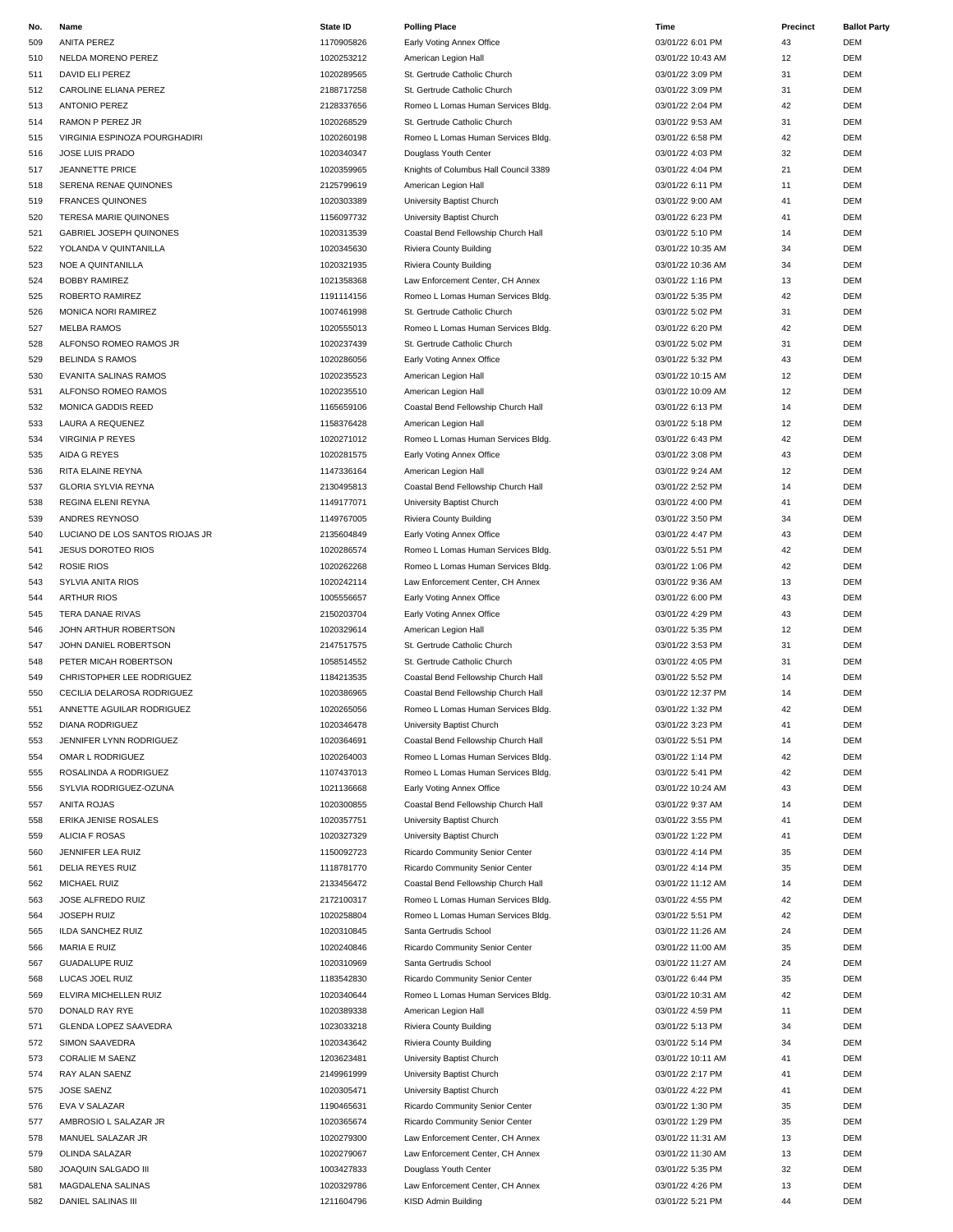| No. | Name                            | <b>State ID</b> | <b>Polling Place</b>                  | Time              | Precinct | <b>Ballot Party</b> |
|-----|---------------------------------|-----------------|---------------------------------------|-------------------|----------|---------------------|
| 509 | ANITA PEREZ                     | 1170905826      | Early Voting Annex Office             | 03/01/22 6:01 PM  | 43       | <b>DEM</b>          |
| 510 | NELDA MORENO PEREZ              | 1020253212      | American Legion Hall                  | 03/01/22 10:43 AM | 12       | <b>DEM</b>          |
| 511 | DAVID ELI PEREZ                 | 1020289565      | St. Gertrude Catholic Church          | 03/01/22 3:09 PM  | 31       | <b>DEM</b>          |
|     |                                 |                 |                                       |                   |          |                     |
| 512 | CAROLINE ELIANA PEREZ           | 2188717258      | St. Gertrude Catholic Church          | 03/01/22 3:09 PM  | 31       | DEM                 |
| 513 | <b>ANTONIO PEREZ</b>            | 2128337656      | Romeo L Lomas Human Services Bldg.    | 03/01/22 2:04 PM  | 42       | DEM                 |
| 514 | RAMON P PEREZ JR                | 1020268529      | St. Gertrude Catholic Church          | 03/01/22 9:53 AM  | 31       | DEM                 |
| 515 | VIRGINIA ESPINOZA POURGHADIRI   | 1020260198      | Romeo L Lomas Human Services Bldg.    | 03/01/22 6:58 PM  | 42       | DEM                 |
| 516 | JOSE LUIS PRADO                 | 1020340347      | Douglass Youth Center                 | 03/01/22 4:03 PM  | 32       | DEM                 |
| 517 | <b>JEANNETTE PRICE</b>          | 1020359965      | Knights of Columbus Hall Council 3389 | 03/01/22 4:04 PM  | 21       | <b>DEM</b>          |
| 518 | SERENA RENAE QUINONES           | 2125799619      | American Legion Hall                  | 03/01/22 6:11 PM  | 11       | DEM                 |
|     |                                 |                 |                                       |                   |          |                     |
| 519 | <b>FRANCES QUINONES</b>         | 1020303389      | University Baptist Church             | 03/01/22 9:00 AM  | 41       | DEM                 |
| 520 | <b>TERESA MARIE QUINONES</b>    | 1156097732      | University Baptist Church             | 03/01/22 6:23 PM  | 41       | DEM                 |
| 521 | GABRIEL JOSEPH QUINONES         | 1020313539      | Coastal Bend Fellowship Church Hall   | 03/01/22 5:10 PM  | 14       | DEM                 |
| 522 | YOLANDA V QUINTANILLA           | 1020345630      | Riviera County Building               | 03/01/22 10:35 AM | 34       | DEM                 |
| 523 | NOE A QUINTANILLA               | 1020321935      | Riviera County Building               | 03/01/22 10:36 AM | 34       | <b>DEM</b>          |
| 524 | <b>BOBBY RAMIREZ</b>            | 1021358368      | Law Enforcement Center, CH Annex      | 03/01/22 1:16 PM  | 13       | DEM                 |
|     |                                 |                 |                                       |                   |          |                     |
| 525 | ROBERTO RAMIREZ                 | 1191114156      | Romeo L Lomas Human Services Bldg.    | 03/01/22 5:35 PM  | 42       | DEM                 |
| 526 | MONICA NORI RAMIREZ             | 1007461998      | St. Gertrude Catholic Church          | 03/01/22 5:02 PM  | 31       | DEM                 |
| 527 | <b>MELBA RAMOS</b>              | 1020555013      | Romeo L Lomas Human Services Bldg.    | 03/01/22 6:20 PM  | 42       | <b>DEM</b>          |
| 528 | ALFONSO ROMEO RAMOS JR          | 1020237439      | St. Gertrude Catholic Church          | 03/01/22 5:02 PM  | 31       | DEM                 |
| 529 | <b>BELINDA S RAMOS</b>          | 1020286056      | Early Voting Annex Office             | 03/01/22 5:32 PM  | 43       | DEM                 |
| 530 | EVANITA SALINAS RAMOS           | 1020235523      | American Legion Hall                  | 03/01/22 10:15 AM | 12       | <b>DEM</b>          |
|     |                                 |                 |                                       |                   |          |                     |
| 531 | ALFONSO ROMEO RAMOS             | 1020235510      | American Legion Hall                  | 03/01/22 10:09 AM | 12       | DEM                 |
| 532 | MONICA GADDIS REED              | 1165659106      | Coastal Bend Fellowship Church Hall   | 03/01/22 6:13 PM  | 14       | DEM                 |
| 533 | LAURA A REQUENEZ                | 1158376428      | American Legion Hall                  | 03/01/22 5:18 PM  | 12       | <b>DEM</b>          |
| 534 | <b>VIRGINIA P REYES</b>         | 1020271012      | Romeo L Lomas Human Services Bldg.    | 03/01/22 6:43 PM  | 42       | DEM                 |
| 535 | AIDA G REYES                    | 1020281575      | Early Voting Annex Office             | 03/01/22 3:08 PM  | 43       | DEM                 |
| 536 | RITA ELAINE REYNA               | 1147336164      | American Legion Hall                  | 03/01/22 9:24 AM  | 12       | DEM                 |
|     |                                 | 2130495813      |                                       |                   |          |                     |
| 537 | <b>GLORIA SYLVIA REYNA</b>      |                 | Coastal Bend Fellowship Church Hall   | 03/01/22 2:52 PM  | 14       | <b>DEM</b>          |
| 538 | REGINA ELENI REYNA              | 1149177071      | University Baptist Church             | 03/01/22 4:00 PM  | 41       | <b>DEM</b>          |
| 539 | ANDRES REYNOSO                  | 1149767005      | Riviera County Building               | 03/01/22 3:50 PM  | 34       | DEM                 |
| 540 | LUCIANO DE LOS SANTOS RIOJAS JR | 2135604849      | Early Voting Annex Office             | 03/01/22 4:47 PM  | 43       | DEM                 |
| 541 | <b>JESUS DOROTEO RIOS</b>       | 1020286574      | Romeo L Lomas Human Services Bldg.    | 03/01/22 5:51 PM  | 42       | DEM                 |
| 542 | <b>ROSIE RIOS</b>               | 1020262268      | Romeo L Lomas Human Services Bldg.    | 03/01/22 1:06 PM  | 42       | DEM                 |
| 543 | SYLVIA ANITA RIOS               | 1020242114      |                                       | 03/01/22 9:36 AM  | 13       | <b>DEM</b>          |
|     |                                 |                 | Law Enforcement Center, CH Annex      |                   |          |                     |
| 544 | <b>ARTHUR RIOS</b>              | 1005556657      | Early Voting Annex Office             | 03/01/22 6:00 PM  | 43       | DEM                 |
| 545 | TERA DANAE RIVAS                | 2150203704      | Early Voting Annex Office             | 03/01/22 4:29 PM  | 43       | DEM                 |
| 546 | JOHN ARTHUR ROBERTSON           | 1020329614      | American Legion Hall                  | 03/01/22 5:35 PM  | 12       | DEM                 |
| 547 | JOHN DANIEL ROBERTSON           | 2147517575      | St. Gertrude Catholic Church          | 03/01/22 3:53 PM  | 31       | <b>DEM</b>          |
| 548 | PETER MICAH ROBERTSON           | 1058514552      | St. Gertrude Catholic Church          | 03/01/22 4:05 PM  | 31       | DEM                 |
| 549 | CHRISTOPHER LEE RODRIGUEZ       | 1184213535      | Coastal Bend Fellowship Church Hall   | 03/01/22 5:52 PM  | 14       | DEM                 |
|     |                                 |                 |                                       |                   |          |                     |
| 550 | CECILIA DELAROSA RODRIGUEZ      | 1020386965      | Coastal Bend Fellowship Church Hall   | 03/01/22 12:37 PM | 14       | <b>DEM</b>          |
| 551 | ANNETTE AGUILAR RODRIGUEZ       | 1020265056      | Romeo L Lomas Human Services Bldg.    | 03/01/22 1:32 PM  | 42       | <b>DEM</b>          |
| 552 | DIANA RODRIGUEZ                 | 1020346478      | University Baptist Church             | 03/01/22 3:23 PM  | 41       | <b>DEM</b>          |
| 553 | JENNIFER LYNN RODRIGUEZ         | 1020364691      | Coastal Bend Fellowship Church Hall   | 03/01/22 5:51 PM  | 14       | DEM                 |
| 554 | OMAR L RODRIGUEZ                | 1020264003      | Romeo L Lomas Human Services Bldg.    | 03/01/22 1:14 PM  | 42       | DEM                 |
| 555 | ROSALINDA A RODRIGUEZ           | 1107437013      | Romeo L Lomas Human Services Bldg.    | 03/01/22 5:41 PM  | 42       | DEM                 |
|     |                                 | 1021136668      | Early Voting Annex Office             |                   | 43       | DEM                 |
| 556 | SYLVIA RODRIGUEZ-OZUNA          |                 |                                       | 03/01/22 10:24 AM |          |                     |
| 557 | ANITA ROJAS                     | 1020300855      | Coastal Bend Fellowship Church Hall   | 03/01/22 9:37 AM  | 14       | DEM                 |
| 558 | ERIKA JENISE ROSALES            | 1020357751      | University Baptist Church             | 03/01/22 3:55 PM  | 41       | DEM                 |
| 559 | ALICIA F ROSAS                  | 1020327329      | University Baptist Church             | 03/01/22 1:22 PM  | 41       | DEM                 |
| 560 | <b>JENNIFER LEA RUIZ</b>        | 1150092723      | Ricardo Community Senior Center       | 03/01/22 4:14 PM  | 35       | DEM                 |
| 561 | <b>DELIA REYES RUIZ</b>         | 1118781770      | Ricardo Community Senior Center       | 03/01/22 4:14 PM  | 35       | DEM                 |
| 562 | MICHAEL RUIZ                    | 2133456472      | Coastal Bend Fellowship Church Hall   | 03/01/22 11:12 AM | 14       | DEM                 |
|     |                                 |                 |                                       |                   | 42       | DEM                 |
| 563 | JOSE ALFREDO RUIZ               | 2172100317      | Romeo L Lomas Human Services Bldg.    | 03/01/22 4:55 PM  |          |                     |
| 564 | <b>JOSEPH RUIZ</b>              | 1020258804      | Romeo L Lomas Human Services Bldg.    | 03/01/22 5:51 PM  | 42       | DEM                 |
| 565 | <b>ILDA SANCHEZ RUIZ</b>        | 1020310845      | Santa Gertrudis School                | 03/01/22 11:26 AM | 24       | DEM                 |
| 566 | <b>MARIA E RUIZ</b>             | 1020240846      | Ricardo Community Senior Center       | 03/01/22 11:00 AM | 35       | DEM                 |
| 567 | <b>GUADALUPE RUIZ</b>           | 1020310969      | Santa Gertrudis School                | 03/01/22 11:27 AM | 24       | DEM                 |
| 568 | LUCAS JOEL RUIZ                 | 1183542830      | Ricardo Community Senior Center       | 03/01/22 6:44 PM  | 35       | DEM                 |
| 569 | ELVIRA MICHELLEN RUIZ           | 1020340644      | Romeo L Lomas Human Services Bldg.    | 03/01/22 10:31 AM | 42       | DEM                 |
|     |                                 |                 |                                       |                   |          |                     |
| 570 | DONALD RAY RYE                  | 1020389338      | American Legion Hall                  | 03/01/22 4:59 PM  | 11       | DEM                 |
| 571 | GLENDA LOPEZ SAAVEDRA           | 1023033218      | Riviera County Building               | 03/01/22 5:13 PM  | 34       | DEM                 |
| 572 | SIMON SAAVEDRA                  | 1020343642      | Riviera County Building               | 03/01/22 5:14 PM  | 34       | DEM                 |
| 573 | <b>CORALIE M SAENZ</b>          | 1203623481      | University Baptist Church             | 03/01/22 10:11 AM | 41       | DEM                 |
| 574 | RAY ALAN SAENZ                  | 2149961999      | University Baptist Church             | 03/01/22 2:17 PM  | 41       | DEM                 |
| 575 | <b>JOSE SAENZ</b>               | 1020305471      | University Baptist Church             | 03/01/22 4:22 PM  | 41       | DEM                 |
|     |                                 |                 |                                       |                   | 35       |                     |
| 576 | EVA V SALAZAR                   | 1190465631      | Ricardo Community Senior Center       | 03/01/22 1:30 PM  |          | DEM                 |
| 577 | AMBROSIO L SALAZAR JR           | 1020365674      | Ricardo Community Senior Center       | 03/01/22 1:29 PM  | 35       | DEM                 |
| 578 | MANUEL SALAZAR JR               | 1020279300      | Law Enforcement Center, CH Annex      | 03/01/22 11:31 AM | 13       | DEM                 |
| 579 | OLINDA SALAZAR                  | 1020279067      | Law Enforcement Center, CH Annex      | 03/01/22 11:30 AM | 13       | DEM                 |
| 580 | JOAQUIN SALGADO III             | 1003427833      | Douglass Youth Center                 | 03/01/22 5:35 PM  | 32       | DEM                 |
| 581 | MAGDALENA SALINAS               | 1020329786      | Law Enforcement Center, CH Annex      | 03/01/22 4:26 PM  | 13       | DEM                 |
| 582 | DANIEL SALINAS III              | 1211604796      | KISD Admin Building                   | 03/01/22 5:21 PM  | 44       | DEM                 |
|     |                                 |                 |                                       |                   |          |                     |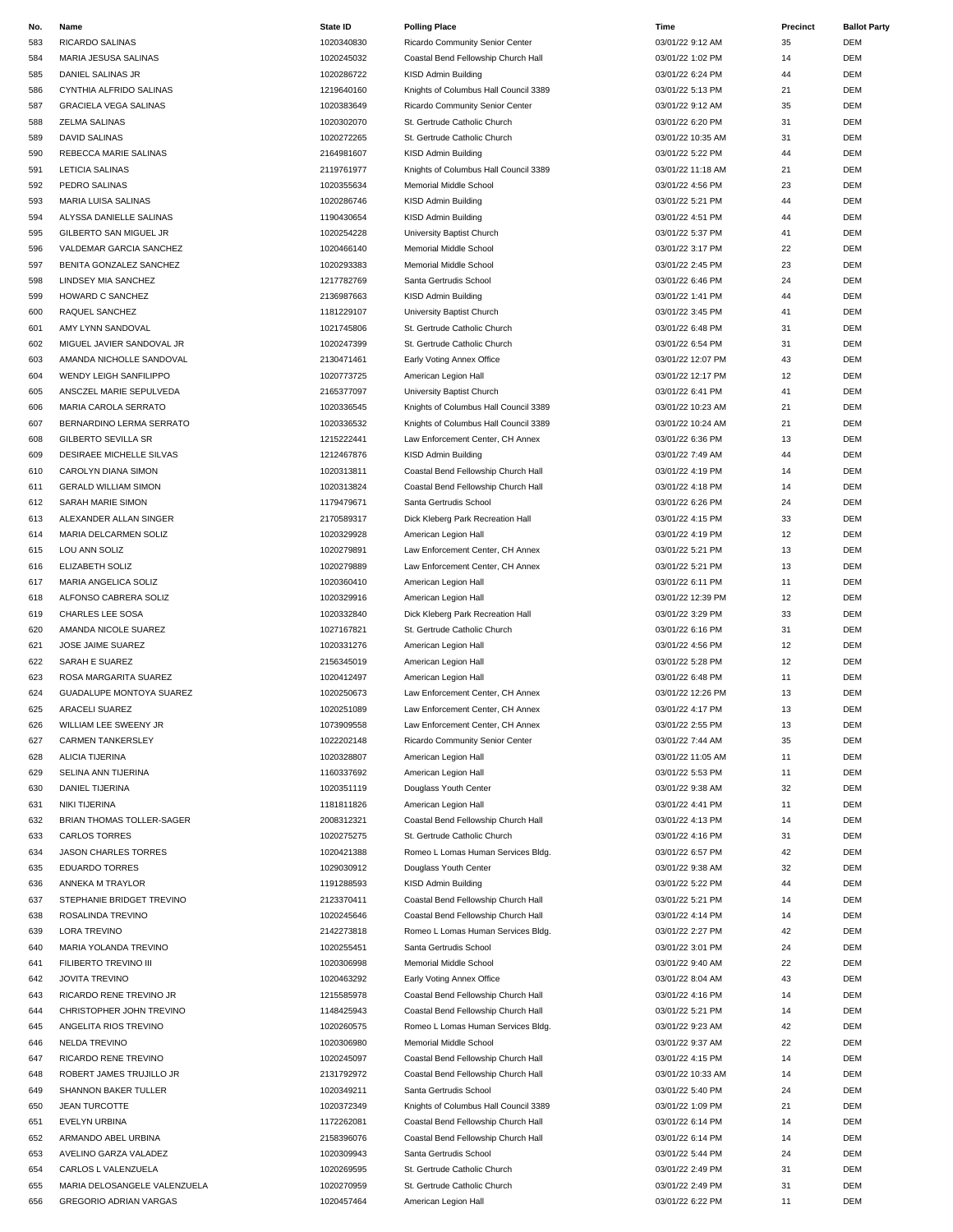| No. | Name                          | State ID   | <b>Polling Place</b>                  | Time              | Precinct | <b>Ballot Party</b> |
|-----|-------------------------------|------------|---------------------------------------|-------------------|----------|---------------------|
| 583 | RICARDO SALINAS               | 1020340830 | Ricardo Community Senior Center       | 03/01/22 9:12 AM  | 35       | <b>DEM</b>          |
| 584 | MARIA JESUSA SALINAS          | 1020245032 | Coastal Bend Fellowship Church Hall   | 03/01/22 1:02 PM  | 14       | DEM                 |
| 585 | DANIEL SALINAS JR             | 1020286722 | KISD Admin Building                   | 03/01/22 6:24 PM  | 44       | DEM                 |
| 586 | CYNTHIA ALFRIDO SALINAS       | 1219640160 | Knights of Columbus Hall Council 3389 | 03/01/22 5:13 PM  | 21       | DEM                 |
| 587 |                               | 1020383649 |                                       | 03/01/22 9:12 AM  | 35       | DEM                 |
|     | <b>GRACIELA VEGA SALINAS</b>  |            | Ricardo Community Senior Center       |                   |          |                     |
| 588 | ZELMA SALINAS                 | 1020302070 | St. Gertrude Catholic Church          | 03/01/22 6:20 PM  | 31       | DEM                 |
| 589 | <b>DAVID SALINAS</b>          | 1020272265 | St. Gertrude Catholic Church          | 03/01/22 10:35 AM | 31       | DEM                 |
| 590 | REBECCA MARIE SALINAS         | 2164981607 | KISD Admin Building                   | 03/01/22 5:22 PM  | 44       | DEM                 |
| 591 | <b>LETICIA SALINAS</b>        | 2119761977 | Knights of Columbus Hall Council 3389 | 03/01/22 11:18 AM | 21       | DEM                 |
| 592 | PEDRO SALINAS                 | 1020355634 | Memorial Middle School                | 03/01/22 4:56 PM  | 23       | DEM                 |
| 593 | MARIA LUISA SALINAS           | 1020286746 | KISD Admin Building                   | 03/01/22 5:21 PM  | 44       | <b>DEM</b>          |
|     | ALYSSA DANIELLE SALINAS       | 1190430654 |                                       | 03/01/22 4:51 PM  | 44       | DEM                 |
| 594 |                               |            | KISD Admin Building                   |                   |          |                     |
| 595 | <b>GILBERTO SAN MIGUEL JR</b> | 1020254228 | University Baptist Church             | 03/01/22 5:37 PM  | 41       | DEM                 |
| 596 | VALDEMAR GARCIA SANCHEZ       | 1020466140 | Memorial Middle School                | 03/01/22 3:17 PM  | 22       | DEM                 |
| 597 | BENITA GONZALEZ SANCHEZ       | 1020293383 | Memorial Middle School                | 03/01/22 2:45 PM  | 23       | DEM                 |
| 598 | LINDSEY MIA SANCHEZ           | 1217782769 | Santa Gertrudis School                | 03/01/22 6:46 PM  | 24       | DEM                 |
| 599 | HOWARD C SANCHEZ              | 2136987663 | KISD Admin Building                   | 03/01/22 1:41 PM  | 44       | DEM                 |
| 600 | RAQUEL SANCHEZ                | 1181229107 | University Baptist Church             | 03/01/22 3:45 PM  | 41       | DEM                 |
|     |                               |            |                                       |                   |          |                     |
| 601 | AMY LYNN SANDOVAL             | 1021745806 | St. Gertrude Catholic Church          | 03/01/22 6:48 PM  | 31       | DEM                 |
| 602 | MIGUEL JAVIER SANDOVAL JR     | 1020247399 | St. Gertrude Catholic Church          | 03/01/22 6:54 PM  | 31       | DEM                 |
| 603 | AMANDA NICHOLLE SANDOVAL      | 2130471461 | Early Voting Annex Office             | 03/01/22 12:07 PM | 43       | <b>DEM</b>          |
| 604 | WENDY LEIGH SANFILIPPO        | 1020773725 | American Legion Hall                  | 03/01/22 12:17 PM | 12       | <b>DEM</b>          |
| 605 | ANSCZEL MARIE SEPULVEDA       | 2165377097 | University Baptist Church             | 03/01/22 6:41 PM  | 41       | DEM                 |
| 606 | MARIA CAROLA SERRATO          | 1020336545 | Knights of Columbus Hall Council 3389 | 03/01/22 10:23 AM | 21       | DEM                 |
|     |                               |            |                                       |                   |          |                     |
| 607 | BERNARDINO LERMA SERRATO      | 1020336532 | Knights of Columbus Hall Council 3389 | 03/01/22 10:24 AM | 21       | DEM                 |
| 608 | GILBERTO SEVILLA SR           | 1215222441 | Law Enforcement Center, CH Annex      | 03/01/22 6:36 PM  | 13       | DEM                 |
| 609 | DESIRAEE MICHELLE SILVAS      | 1212467876 | KISD Admin Building                   | 03/01/22 7:49 AM  | 44       | DEM                 |
| 610 | CAROLYN DIANA SIMON           | 1020313811 | Coastal Bend Fellowship Church Hall   | 03/01/22 4:19 PM  | 14       | <b>DEM</b>          |
| 611 | <b>GERALD WILLIAM SIMON</b>   | 1020313824 | Coastal Bend Fellowship Church Hall   | 03/01/22 4:18 PM  | 14       | DEM                 |
| 612 | SARAH MARIE SIMON             | 1179479671 | Santa Gertrudis School                | 03/01/22 6:26 PM  | 24       | DEM                 |
| 613 |                               | 2170589317 |                                       |                   | 33       | <b>DEM</b>          |
|     | ALEXANDER ALLAN SINGER        |            | Dick Kleberg Park Recreation Hall     | 03/01/22 4:15 PM  |          |                     |
| 614 | MARIA DELCARMEN SOLIZ         | 1020329928 | American Legion Hall                  | 03/01/22 4:19 PM  | 12       | <b>DEM</b>          |
| 615 | LOU ANN SOLIZ                 | 1020279891 | Law Enforcement Center, CH Annex      | 03/01/22 5:21 PM  | 13       | DEM                 |
| 616 | ELIZABETH SOLIZ               | 1020279889 | Law Enforcement Center, CH Annex      | 03/01/22 5:21 PM  | 13       | DEM                 |
| 617 | MARIA ANGELICA SOLIZ          | 1020360410 | American Legion Hall                  | 03/01/22 6:11 PM  | 11       | <b>DEM</b>          |
| 618 | ALFONSO CABRERA SOLIZ         | 1020329916 | American Legion Hall                  | 03/01/22 12:39 PM | 12       | DEM                 |
| 619 | CHARLES LEE SOSA              | 1020332840 | Dick Kleberg Park Recreation Hall     | 03/01/22 3:29 PM  | 33       | DEM                 |
|     |                               |            |                                       |                   |          |                     |
| 620 | AMANDA NICOLE SUAREZ          | 1027167821 | St. Gertrude Catholic Church          | 03/01/22 6:16 PM  | 31       | DEM                 |
| 621 | JOSE JAIME SUAREZ             | 1020331276 | American Legion Hall                  | 03/01/22 4:56 PM  | 12       | DEM                 |
| 622 | SARAH E SUAREZ                | 2156345019 | American Legion Hall                  | 03/01/22 5:28 PM  | 12       | DEM                 |
| 623 | ROSA MARGARITA SUAREZ         | 1020412497 | American Legion Hall                  | 03/01/22 6:48 PM  | 11       | <b>DEM</b>          |
| 624 | GUADALUPE MONTOYA SUAREZ      | 1020250673 | Law Enforcement Center, CH Annex      | 03/01/22 12:26 PM | 13       | <b>DEM</b>          |
| 625 | ARACELI SUAREZ                | 1020251089 | Law Enforcement Center, CH Annex      | 03/01/22 4:17 PM  | 13       | <b>DEM</b>          |
| 626 | WILLIAM LEE SWEENY JR         | 1073909558 | Law Enforcement Center, CH Annex      | 03/01/22 2:55 PM  | 13       | DEM                 |
|     |                               |            |                                       |                   |          |                     |
| 627 | <b>CARMEN TANKERSLEY</b>      | 1022202148 | Ricardo Community Senior Center       | 03/01/22 7:44 AM  | 35       | DEM                 |
| 628 | ALICIA TIJERINA               | 1020328807 | American Legion Hall                  | 03/01/22 11:05 AM | 11       | DEM                 |
| 629 | SELINA ANN TIJERINA           | 1160337692 | American Legion Hall                  | 03/01/22 5:53 PM  | 11       | DEM                 |
| 630 | DANIEL TIJERINA               | 1020351119 | Douglass Youth Center                 | 03/01/22 9:38 AM  | 32       | DEM                 |
| 631 | NIKI TIJERINA                 | 1181811826 | American Legion Hall                  | 03/01/22 4:41 PM  | 11       | DEM                 |
| 632 | BRIAN THOMAS TOLLER-SAGER     | 2008312321 | Coastal Bend Fellowship Church Hall   | 03/01/22 4:13 PM  | 14       | DEM                 |
| 633 | <b>CARLOS TORRES</b>          | 1020275275 | St. Gertrude Catholic Church          | 03/01/22 4:16 PM  | 31       | DEM                 |
|     |                               |            |                                       |                   |          |                     |
| 634 | <b>JASON CHARLES TORRES</b>   | 1020421388 | Romeo L Lomas Human Services Bldg.    | 03/01/22 6:57 PM  | 42       | DEM                 |
| 635 | <b>EDUARDO TORRES</b>         | 1029030912 | Douglass Youth Center                 | 03/01/22 9:38 AM  | 32       | DEM                 |
| 636 | ANNEKA M TRAYLOR              | 1191288593 | KISD Admin Building                   | 03/01/22 5:22 PM  | 44       | DEM                 |
| 637 | STEPHANIE BRIDGET TREVINO     | 2123370411 | Coastal Bend Fellowship Church Hall   | 03/01/22 5:21 PM  | 14       | DEM                 |
| 638 | ROSALINDA TREVINO             | 1020245646 | Coastal Bend Fellowship Church Hall   | 03/01/22 4:14 PM  | 14       | DEM                 |
| 639 | LORA TREVINO                  | 2142273818 | Romeo L Lomas Human Services Bldg.    | 03/01/22 2:27 PM  | 42       | DEM                 |
| 640 | MARIA YOLANDA TREVINO         | 1020255451 | Santa Gertrudis School                | 03/01/22 3:01 PM  | 24       | DEM                 |
|     |                               |            |                                       |                   |          |                     |
| 641 | FILIBERTO TREVINO III         | 1020306998 | Memorial Middle School                | 03/01/22 9:40 AM  | 22       | DEM                 |
| 642 | <b>JOVITA TREVINO</b>         | 1020463292 | Early Voting Annex Office             | 03/01/22 8:04 AM  | 43       | DEM                 |
| 643 | RICARDO RENE TREVINO JR       | 1215585978 | Coastal Bend Fellowship Church Hall   | 03/01/22 4:16 PM  | 14       | DEM                 |
| 644 | CHRISTOPHER JOHN TREVINO      | 1148425943 | Coastal Bend Fellowship Church Hall   | 03/01/22 5:21 PM  | 14       | DEM                 |
| 645 | ANGELITA RIOS TREVINO         | 1020260575 | Romeo L Lomas Human Services Bldg.    | 03/01/22 9:23 AM  | 42       | DEM                 |
| 646 | <b>NELDA TREVINO</b>          | 1020306980 | Memorial Middle School                | 03/01/22 9:37 AM  | 22       | DEM                 |
|     |                               |            |                                       |                   |          |                     |
| 647 | RICARDO RENE TREVINO          | 1020245097 | Coastal Bend Fellowship Church Hall   | 03/01/22 4:15 PM  | 14       | DEM                 |
| 648 | ROBERT JAMES TRUJILLO JR      | 2131792972 | Coastal Bend Fellowship Church Hall   | 03/01/22 10:33 AM | 14       | DEM                 |
| 649 | SHANNON BAKER TULLER          | 1020349211 | Santa Gertrudis School                | 03/01/22 5:40 PM  | 24       | DEM                 |
| 650 | <b>JEAN TURCOTTE</b>          | 1020372349 | Knights of Columbus Hall Council 3389 | 03/01/22 1:09 PM  | 21       | DEM                 |
| 651 | <b>EVELYN URBINA</b>          | 1172262081 | Coastal Bend Fellowship Church Hall   | 03/01/22 6:14 PM  | 14       | DEM                 |
| 652 | ARMANDO ABEL URBINA           | 2158396076 | Coastal Bend Fellowship Church Hall   | 03/01/22 6:14 PM  | 14       | DEM                 |
| 653 | AVELINO GARZA VALADEZ         | 1020309943 | Santa Gertrudis School                | 03/01/22 5:44 PM  | 24       | DEM                 |
|     |                               |            |                                       |                   |          | DEM                 |
| 654 | CARLOS L VALENZUELA           | 1020269595 | St. Gertrude Catholic Church          | 03/01/22 2:49 PM  | 31       |                     |
| 655 | MARIA DELOSANGELE VALENZUELA  | 1020270959 | St. Gertrude Catholic Church          | 03/01/22 2:49 PM  | 31       | DEM                 |
| 656 | <b>GREGORIO ADRIAN VARGAS</b> | 1020457464 | American Legion Hall                  | 03/01/22 6:22 PM  | 11       | <b>DEM</b>          |